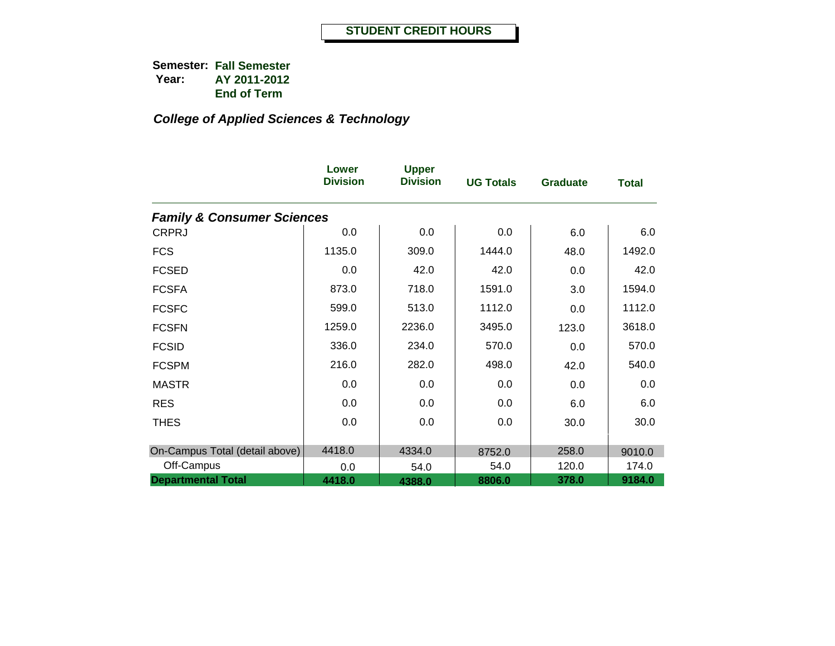|                                       | Lower<br><b>Division</b> | <b>Upper</b><br><b>Division</b> | <b>UG Totals</b> | <b>Graduate</b> | <b>Total</b> |
|---------------------------------------|--------------------------|---------------------------------|------------------|-----------------|--------------|
| <b>Family &amp; Consumer Sciences</b> |                          |                                 |                  |                 |              |
| <b>CRPRJ</b>                          | 0.0                      | 0.0                             | 0.0              | 6.0             | 6.0          |
| <b>FCS</b>                            | 1135.0                   | 309.0                           | 1444.0           | 48.0            | 1492.0       |
| <b>FCSED</b>                          | 0.0                      | 42.0                            | 42.0             | 0.0             | 42.0         |
| <b>FCSFA</b>                          | 873.0                    | 718.0                           | 1591.0           | 3.0             | 1594.0       |
| <b>FCSFC</b>                          | 599.0                    | 513.0                           | 1112.0           | 0.0             | 1112.0       |
| <b>FCSFN</b>                          | 1259.0                   | 2236.0                          | 3495.0           | 123.0           | 3618.0       |
| <b>FCSID</b>                          | 336.0                    | 234.0                           | 570.0            | 0.0             | 570.0        |
| <b>FCSPM</b>                          | 216.0                    | 282.0                           | 498.0            | 42.0            | 540.0        |
| <b>MASTR</b>                          | 0.0                      | 0.0                             | 0.0              | 0.0             | 0.0          |
| <b>RES</b>                            | 0.0                      | 0.0                             | 0.0              | 6.0             | 6.0          |
| <b>THES</b>                           | 0.0                      | 0.0                             | 0.0              | 30.0            | 30.0         |
|                                       |                          |                                 |                  |                 |              |
| On-Campus Total (detail above)        | 4418.0                   | 4334.0                          | 8752.0           | 258.0           | 9010.0       |
| Off-Campus                            | 0.0                      | 54.0                            | 54.0             | 120.0           | 174.0        |
| <b>Departmental Total</b>             | 4418.0                   | 4388.0                          | 8806.0           | 378.0           | 9184.0       |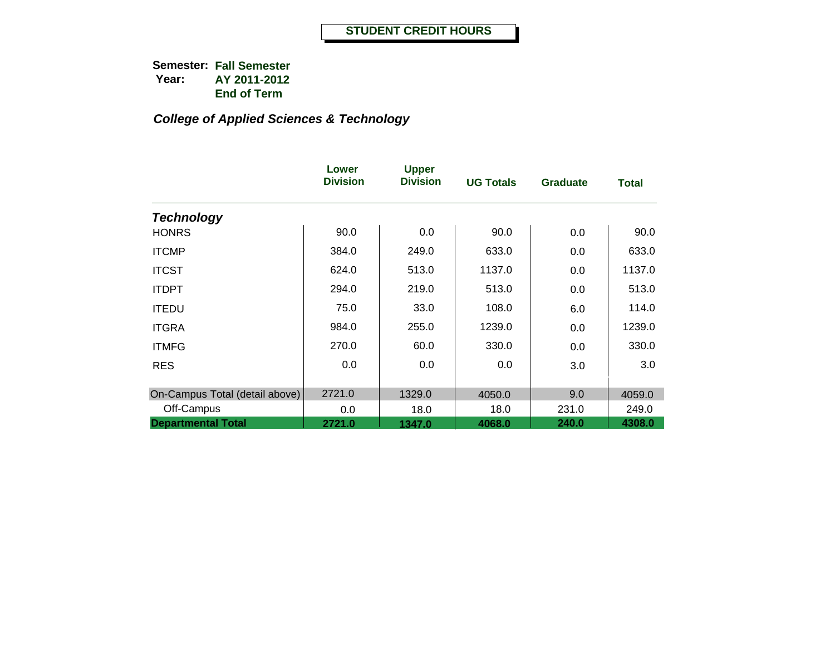|                                | Lower<br><b>Division</b> | <b>Upper</b><br><b>Division</b> | <b>UG Totals</b> | <b>Graduate</b> | <b>Total</b> |
|--------------------------------|--------------------------|---------------------------------|------------------|-----------------|--------------|
| <b>Technology</b>              |                          |                                 |                  |                 |              |
| <b>HONRS</b>                   | 90.0                     | 0.0                             | 90.0             | 0.0             | 90.0         |
| <b>ITCMP</b>                   | 384.0                    | 249.0                           | 633.0            | 0.0             | 633.0        |
| <b>ITCST</b>                   | 624.0                    | 513.0                           | 1137.0           | 0.0             | 1137.0       |
| <b>ITDPT</b>                   | 294.0                    | 219.0                           | 513.0            | 0.0             | 513.0        |
| <b>ITEDU</b>                   | 75.0                     | 33.0                            | 108.0            | 6.0             | 114.0        |
| <b>ITGRA</b>                   | 984.0                    | 255.0                           | 1239.0           | 0.0             | 1239.0       |
| <b>ITMFG</b>                   | 270.0                    | 60.0                            | 330.0            | 0.0             | 330.0        |
| <b>RES</b>                     | 0.0                      | 0.0                             | 0.0              | 3.0             | 3.0          |
| On-Campus Total (detail above) | 2721.0                   | 1329.0                          | 4050.0           | 9.0             | 4059.0       |
| Off-Campus                     | 0.0                      | 18.0                            | 18.0             | 231.0           | 249.0        |
| <b>Departmental Total</b>      | 2721.0                   | 1347.0                          | 4068.0           | 240.0           | 4308.0       |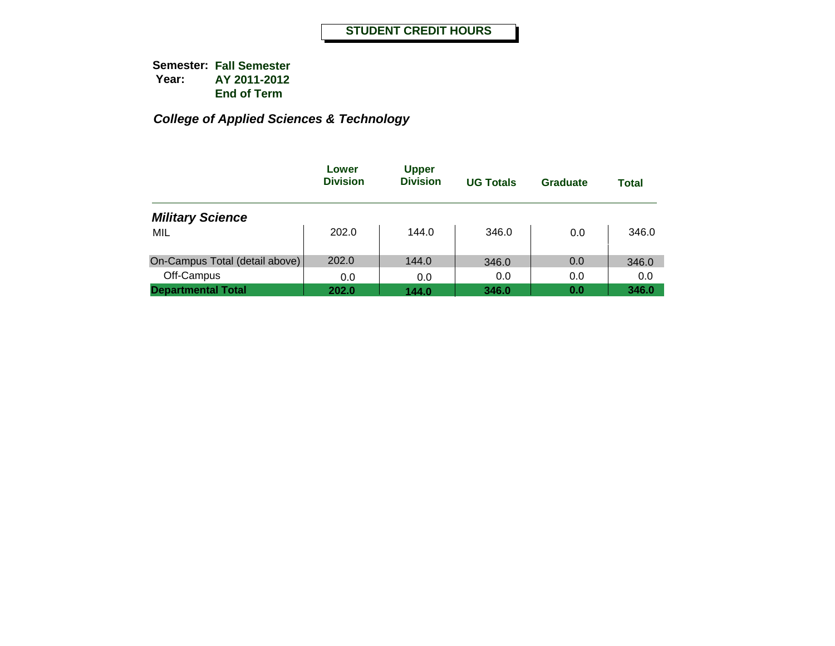|                                | Lower<br><b>Division</b> | <b>Upper</b><br><b>Division</b> | <b>UG Totals</b> | Graduate | <b>Total</b> |
|--------------------------------|--------------------------|---------------------------------|------------------|----------|--------------|
| <b>Military Science</b>        |                          |                                 |                  |          |              |
| MIL                            | 202.0                    | 144.0                           | 346.0            | 0.0      | 346.0        |
| On-Campus Total (detail above) | 202.0                    | 144.0                           | 346.0            | 0.0      | 346.0        |
| Off-Campus                     | 0.0                      | 0.0                             | 0.0              | 0.0      | 0.0          |
| <b>Departmental Total</b>      | 202.0                    | 144.0                           | 346.0            | 0.0      | 346.0        |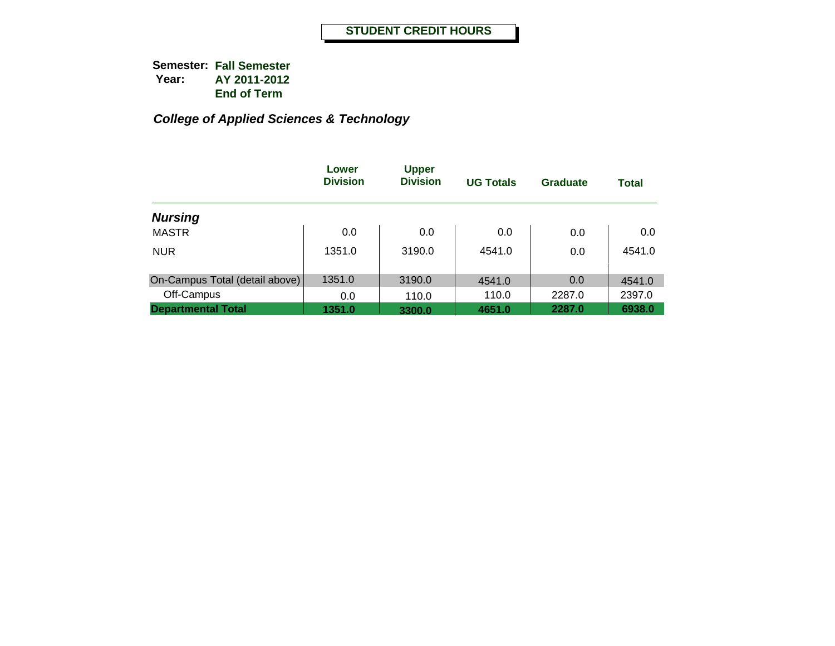|                                | Lower<br><b>Division</b> | <b>Upper</b><br><b>Division</b> | <b>UG Totals</b> | <b>Graduate</b> | <b>Total</b> |
|--------------------------------|--------------------------|---------------------------------|------------------|-----------------|--------------|
| <b>Nursing</b>                 |                          |                                 |                  |                 |              |
| <b>MASTR</b>                   | 0.0                      | 0.0                             | 0.0              | 0.0             | 0.0          |
| <b>NUR</b>                     | 1351.0                   | 3190.0                          | 4541.0           | 0.0             | 4541.0       |
| On-Campus Total (detail above) | 1351.0                   | 3190.0                          | 4541.0           | 0.0             | 4541.0       |
| Off-Campus                     | 0.0                      | 110.0                           | 110.0            | 2287.0          | 2397.0       |
| <b>Departmental Total</b>      | 1351.0                   | 3300.0                          | 4651.0           | 2287.0          | 6938.0       |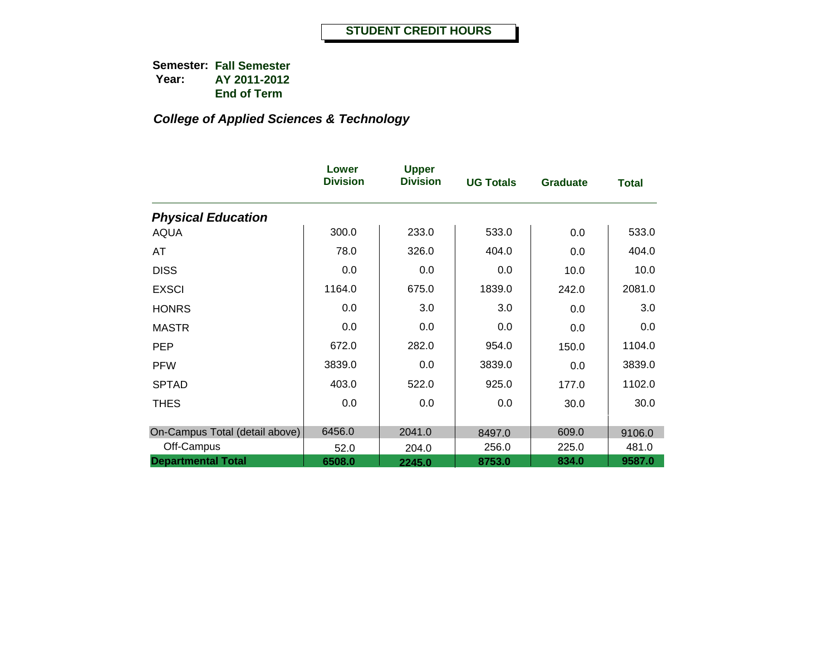|                                | Lower<br><b>Division</b> | <b>Upper</b><br><b>Division</b> | <b>UG Totals</b> | <b>Graduate</b> | <b>Total</b> |
|--------------------------------|--------------------------|---------------------------------|------------------|-----------------|--------------|
| <b>Physical Education</b>      |                          |                                 |                  |                 |              |
| <b>AQUA</b>                    | 300.0                    | 233.0                           | 533.0            | 0.0             | 533.0        |
| AT                             | 78.0                     | 326.0                           | 404.0            | 0.0             | 404.0        |
| <b>DISS</b>                    | 0.0                      | 0.0                             | 0.0              | 10.0            | 10.0         |
| <b>EXSCI</b>                   | 1164.0                   | 675.0                           | 1839.0           | 242.0           | 2081.0       |
| <b>HONRS</b>                   | 0.0                      | 3.0                             | 3.0              | 0.0             | 3.0          |
| <b>MASTR</b>                   | 0.0                      | 0.0                             | 0.0              | 0.0             | 0.0          |
| <b>PEP</b>                     | 672.0                    | 282.0                           | 954.0            | 150.0           | 1104.0       |
| <b>PFW</b>                     | 3839.0                   | 0.0                             | 3839.0           | 0.0             | 3839.0       |
| <b>SPTAD</b>                   | 403.0                    | 522.0                           | 925.0            | 177.0           | 1102.0       |
| <b>THES</b>                    | 0.0                      | 0.0                             | 0.0              | 30.0            | 30.0         |
| On-Campus Total (detail above) | 6456.0                   | 2041.0                          | 8497.0           | 609.0           | 9106.0       |
| Off-Campus                     | 52.0                     | 204.0                           | 256.0            | 225.0           | 481.0        |
| <b>Departmental Total</b>      | 6508.0                   | 2245.0                          | 8753.0           | 834.0           | 9587.0       |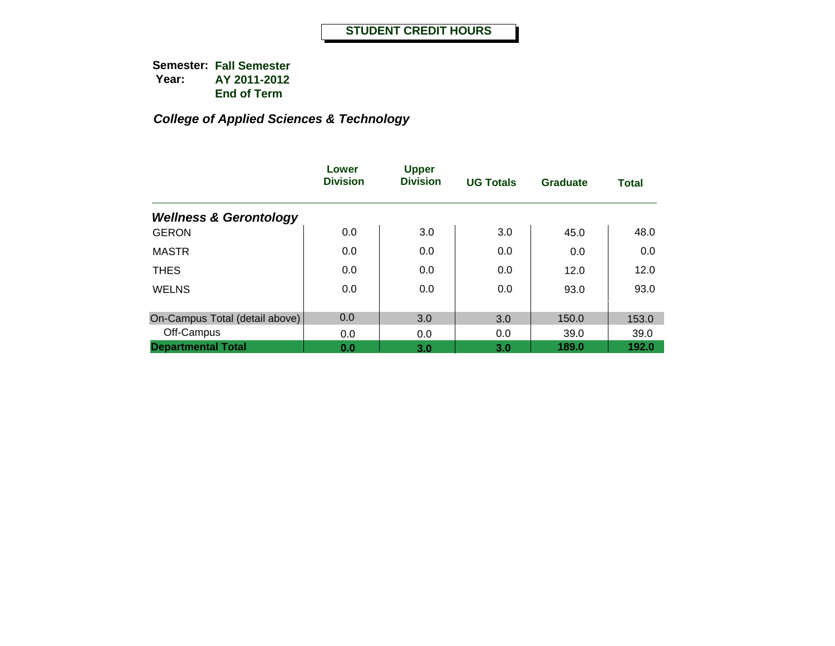|                                   | Lower<br><b>Division</b> | <b>Upper</b><br><b>Division</b> | <b>UG Totals</b> | Graduate | <b>Total</b> |
|-----------------------------------|--------------------------|---------------------------------|------------------|----------|--------------|
| <b>Wellness &amp; Gerontology</b> |                          |                                 |                  |          |              |
| <b>GERON</b>                      | 0.0                      | 3.0                             | 3.0              | 45.0     | 48.0         |
| <b>MASTR</b>                      | 0.0                      | 0.0                             | 0.0              | 0.0      | 0.0          |
| <b>THES</b>                       | 0.0                      | 0.0                             | 0.0              | 12.0     | 12.0         |
| <b>WELNS</b>                      | 0.0                      | 0.0                             | 0.0              | 93.0     | 93.0         |
| On-Campus Total (detail above)    | 0.0                      | 3.0                             | 3.0              | 150.0    | 153.0        |
| Off-Campus                        | 0.0                      | 0.0                             | 0.0              | 39.0     | 39.0         |
| <b>Departmental Total</b>         | 0.0                      | 3.0                             | 3.0              | 189.0    | 192.0        |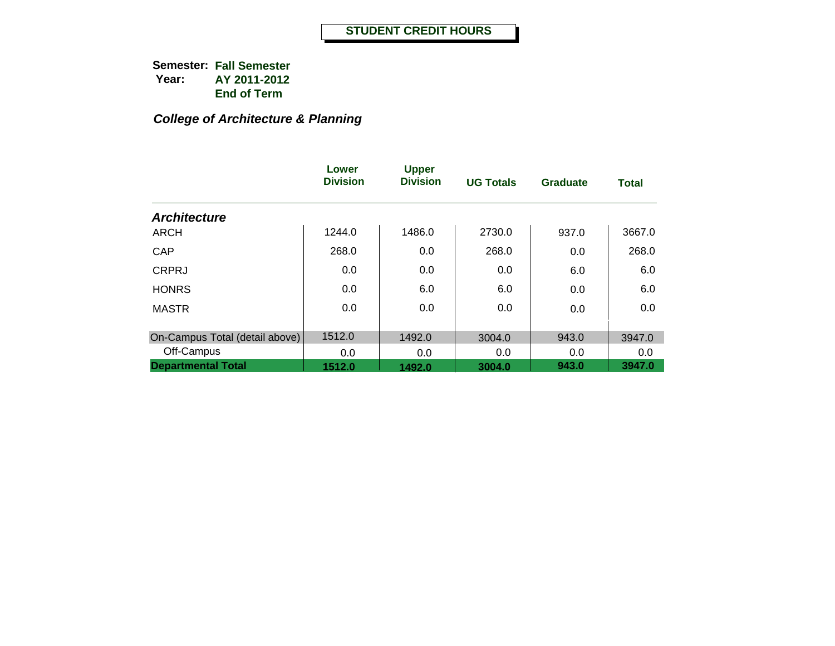# *College of Architecture & Planning*

|                                | Lower<br><b>Division</b> | <b>Upper</b><br><b>Division</b> | <b>UG Totals</b> | <b>Graduate</b> | <b>Total</b> |
|--------------------------------|--------------------------|---------------------------------|------------------|-----------------|--------------|
| <b>Architecture</b>            |                          |                                 |                  |                 |              |
| <b>ARCH</b>                    | 1244.0                   | 1486.0                          | 2730.0           | 937.0           | 3667.0       |
| CAP                            | 268.0                    | 0.0                             | 268.0            | 0.0             | 268.0        |
| <b>CRPRJ</b>                   | 0.0                      | 0.0                             | 0.0              | 6.0             | 6.0          |
| <b>HONRS</b>                   | 0.0                      | 6.0                             | 6.0              | 0.0             | 6.0          |
| <b>MASTR</b>                   | 0.0                      | 0.0                             | 0.0              | 0.0             | 0.0          |
| On-Campus Total (detail above) | 1512.0                   | 1492.0                          | 3004.0           | 943.0           | 3947.0       |
| Off-Campus                     | 0.0                      | 0.0                             | 0.0              | 0.0             | 0.0          |
| <b>Departmental Total</b>      | 1512.0                   | 1492.0                          | 3004.0           | 943.0           | 3947.0       |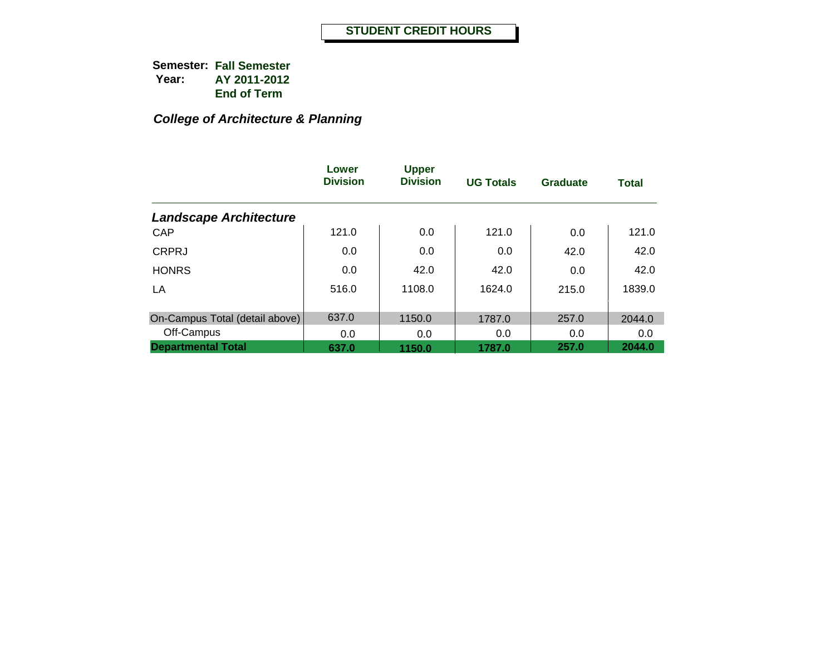# *College of Architecture & Planning*

|                                | Lower<br><b>Division</b> | <b>Upper</b><br><b>Division</b> | <b>UG Totals</b> | <b>Graduate</b> | <b>Total</b> |
|--------------------------------|--------------------------|---------------------------------|------------------|-----------------|--------------|
| <b>Landscape Architecture</b>  |                          |                                 |                  |                 |              |
| <b>CAP</b>                     | 121.0                    | 0.0                             | 121.0            | 0.0             | 121.0        |
| <b>CRPRJ</b>                   | 0.0                      | 0.0                             | 0.0              | 42.0            | 42.0         |
| <b>HONRS</b>                   | 0.0                      | 42.0                            | 42.0             | 0.0             | 42.0         |
| LA                             | 516.0                    | 1108.0                          | 1624.0           | 215.0           | 1839.0       |
| On-Campus Total (detail above) | 637.0                    | 1150.0                          | 1787.0           | 257.0           | 2044.0       |
| Off-Campus                     | 0.0                      | 0.0                             | 0.0              | 0.0             | 0.0          |
| <b>Departmental Total</b>      | 637.0                    | 1150.0                          | 1787.0           | 257.0           | 2044.0       |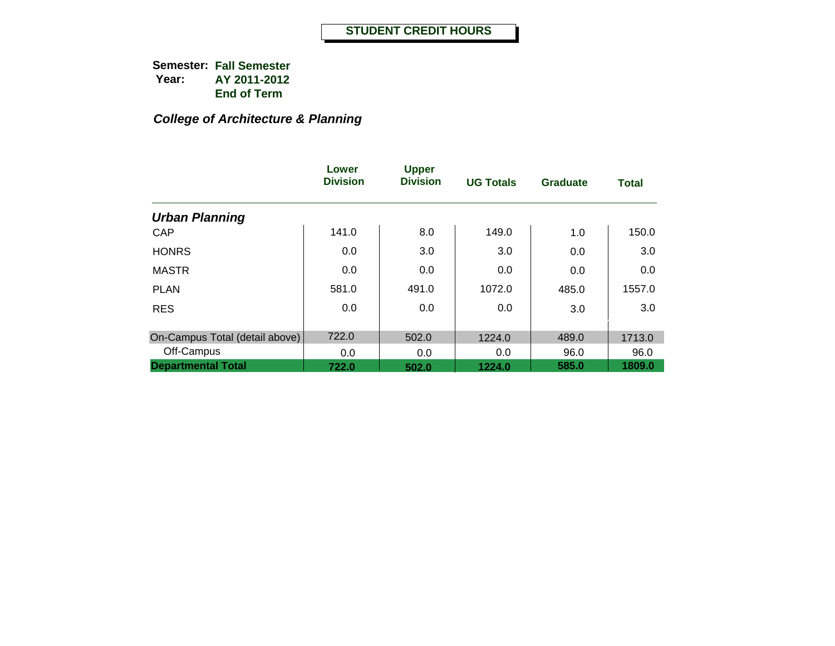# *College of Architecture & Planning*

|                                | Lower<br><b>Division</b> | <b>Upper</b><br><b>Division</b> | <b>UG Totals</b> | <b>Graduate</b> | <b>Total</b> |
|--------------------------------|--------------------------|---------------------------------|------------------|-----------------|--------------|
| <b>Urban Planning</b>          |                          |                                 |                  |                 |              |
| CAP                            | 141.0                    | 8.0                             | 149.0            | 1.0             | 150.0        |
| <b>HONRS</b>                   | 0.0                      | 3.0                             | 3.0              | 0.0             | 3.0          |
| <b>MASTR</b>                   | 0.0                      | 0.0                             | 0.0              | 0.0             | 0.0          |
| <b>PLAN</b>                    | 581.0                    | 491.0                           | 1072.0           | 485.0           | 1557.0       |
| <b>RES</b>                     | 0.0                      | 0.0                             | 0.0              | 3.0             | 3.0          |
| On-Campus Total (detail above) | 722.0                    | 502.0                           | 1224.0           | 489.0           | 1713.0       |
| Off-Campus                     | 0.0                      | 0.0                             | 0.0              | 96.0            | 96.0         |
| <b>Departmental Total</b>      | 722.0                    | 502.0                           | 1224.0           | 585.0           | 1809.0       |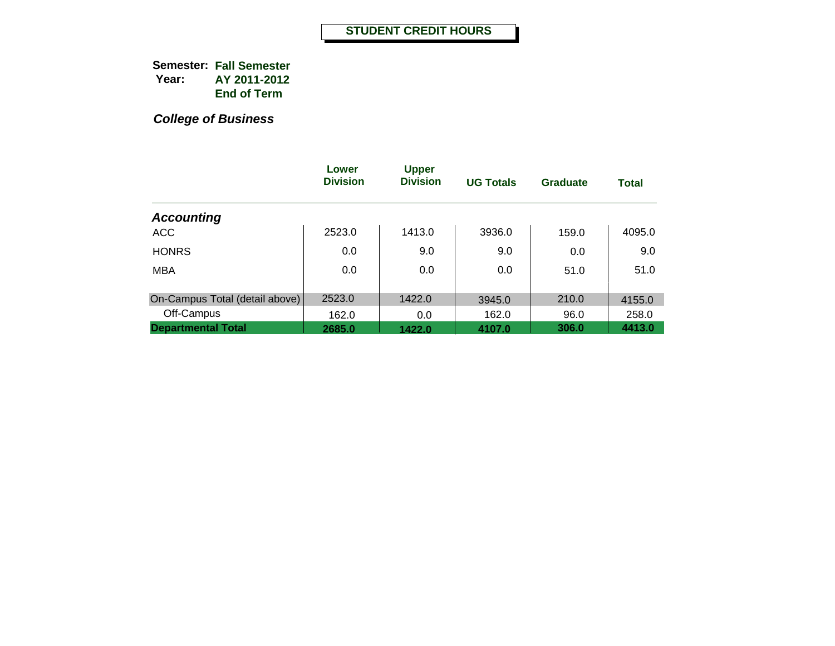|                                | Lower<br><b>Division</b> | <b>Upper</b><br><b>Division</b> | <b>UG Totals</b> | Graduate | <b>Total</b> |
|--------------------------------|--------------------------|---------------------------------|------------------|----------|--------------|
| <b>Accounting</b>              |                          |                                 |                  |          |              |
| <b>ACC</b>                     | 2523.0                   | 1413.0                          | 3936.0           | 159.0    | 4095.0       |
| <b>HONRS</b>                   | 0.0                      | 9.0                             | 9.0              | 0.0      | 9.0          |
| <b>MBA</b>                     | 0.0                      | 0.0                             | 0.0              | 51.0     | 51.0         |
|                                |                          |                                 |                  |          |              |
| On-Campus Total (detail above) | 2523.0                   | 1422.0                          | 3945.0           | 210.0    | 4155.0       |
| Off-Campus                     | 162.0                    | 0.0                             | 162.0            | 96.0     | 258.0        |
| <b>Departmental Total</b>      | 2685.0                   | 1422.0                          | 4107.0           | 306.0    | 4413.0       |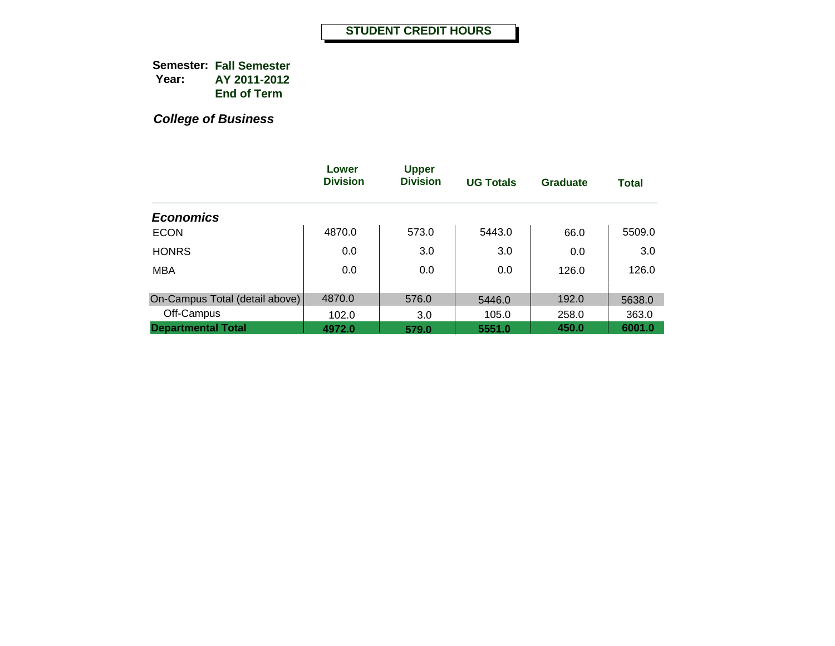|                                | Lower<br><b>Division</b> | <b>Upper</b><br><b>Division</b> | <b>UG Totals</b> | <b>Graduate</b> | <b>Total</b> |
|--------------------------------|--------------------------|---------------------------------|------------------|-----------------|--------------|
| <b>Economics</b>               |                          |                                 |                  |                 |              |
| <b>ECON</b>                    | 4870.0                   | 573.0                           | 5443.0           | 66.0            | 5509.0       |
| <b>HONRS</b>                   | 0.0                      | 3.0                             | 3.0              | 0.0             | 3.0          |
| <b>MBA</b>                     | 0.0                      | 0.0                             | 0.0              | 126.0           | 126.0        |
|                                |                          |                                 |                  |                 |              |
| On-Campus Total (detail above) | 4870.0                   | 576.0                           | 5446.0           | 192.0           | 5638.0       |
| Off-Campus                     | 102.0                    | 3.0                             | 105.0            | 258.0           | 363.0        |
| <b>Departmental Total</b>      | 4972.0                   | 579.0                           | 5551.0           | 450.0           | 6001.0       |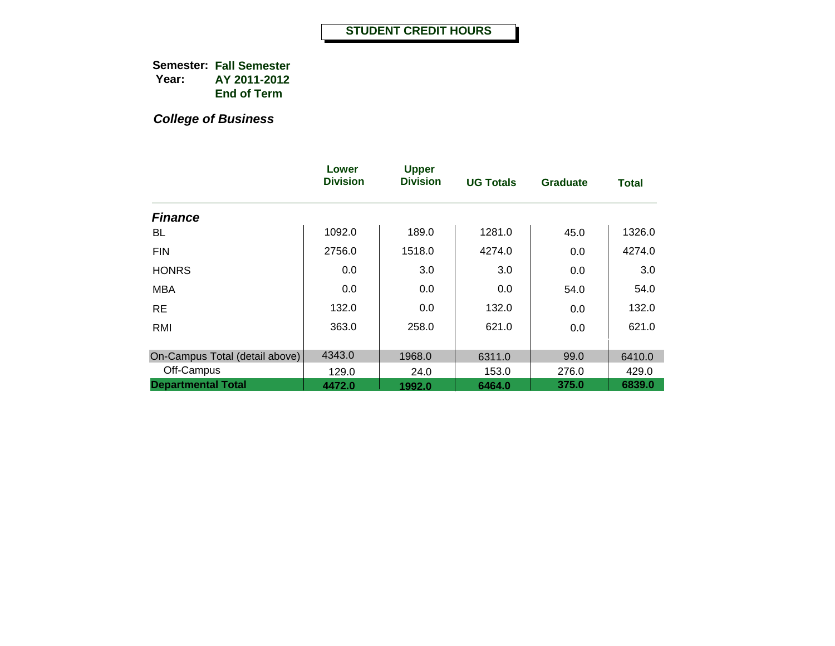|                                | Lower<br><b>Division</b> | <b>Upper</b><br><b>Division</b> | <b>UG Totals</b> | <b>Graduate</b> | <b>Total</b> |
|--------------------------------|--------------------------|---------------------------------|------------------|-----------------|--------------|
| <b>Finance</b>                 |                          |                                 |                  |                 |              |
| BL                             | 1092.0                   | 189.0                           | 1281.0           | 45.0            | 1326.0       |
| <b>FIN</b>                     | 2756.0                   | 1518.0                          | 4274.0           | 0.0             | 4274.0       |
| <b>HONRS</b>                   | 0.0                      | 3.0                             | 3.0              | 0.0             | 3.0          |
| <b>MBA</b>                     | 0.0                      | 0.0                             | 0.0              | 54.0            | 54.0         |
| <b>RE</b>                      | 132.0                    | 0.0                             | 132.0            | 0.0             | 132.0        |
| RMI                            | 363.0                    | 258.0                           | 621.0            | 0.0             | 621.0        |
| On-Campus Total (detail above) | 4343.0                   | 1968.0                          | 6311.0           | 99.0            | 6410.0       |
| Off-Campus                     | 129.0                    | 24.0                            | 153.0            | 276.0           | 429.0        |
| <b>Departmental Total</b>      | 4472.0                   | 1992.0                          | 6464.0           | 375.0           | 6839.0       |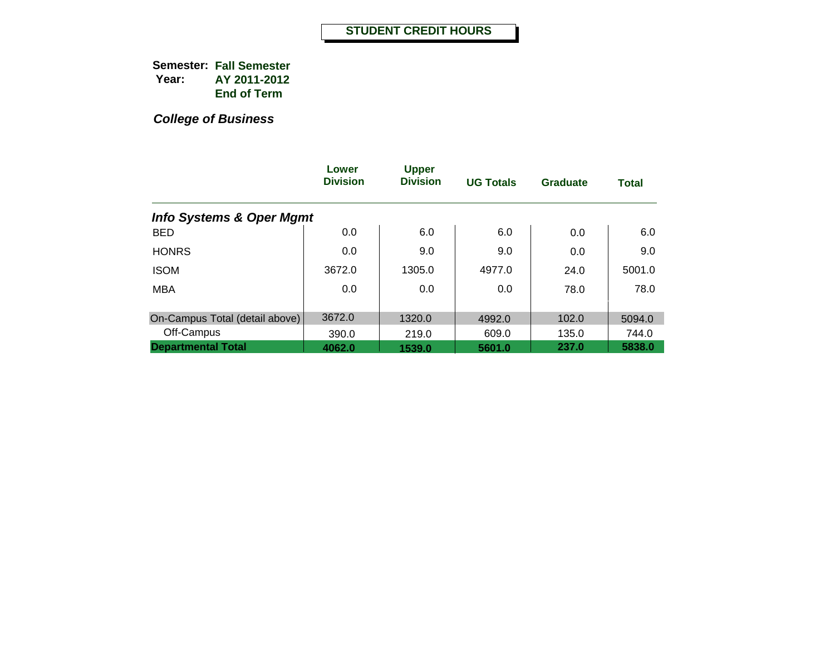|                                     | Lower<br><b>Division</b> | <b>Upper</b><br><b>Division</b> | <b>UG Totals</b> | Graduate | <b>Total</b> |
|-------------------------------------|--------------------------|---------------------------------|------------------|----------|--------------|
| <b>Info Systems &amp; Oper Mgmt</b> |                          |                                 |                  |          |              |
| <b>BED</b>                          | 0.0                      | 6.0                             | 6.0              | 0.0      | 6.0          |
| <b>HONRS</b>                        | 0.0                      | 9.0                             | 9.0              | 0.0      | 9.0          |
| <b>ISOM</b>                         | 3672.0                   | 1305.0                          | 4977.0           | 24.0     | 5001.0       |
| <b>MBA</b>                          | 0.0                      | 0.0                             | 0.0              | 78.0     | 78.0         |
|                                     |                          |                                 |                  |          |              |
| On-Campus Total (detail above)      | 3672.0                   | 1320.0                          | 4992.0           | 102.0    | 5094.0       |
| Off-Campus                          | 390.0                    | 219.0                           | 609.0            | 135.0    | 744.0        |
| <b>Departmental Total</b>           | 4062.0                   | 1539.0                          | 5601.0           | 237.0    | 5838.0       |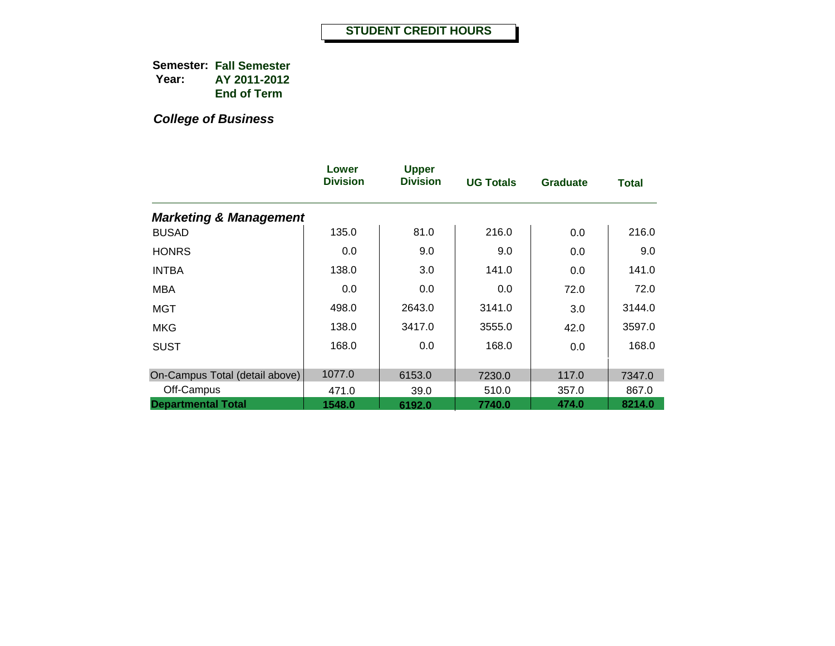|                                   | Lower<br><b>Division</b> | <b>Upper</b><br><b>Division</b> | <b>UG Totals</b> | <b>Graduate</b> | Total  |
|-----------------------------------|--------------------------|---------------------------------|------------------|-----------------|--------|
| <b>Marketing &amp; Management</b> |                          |                                 |                  |                 |        |
| <b>BUSAD</b>                      | 135.0                    | 81.0                            | 216.0            | 0.0             | 216.0  |
| <b>HONRS</b>                      | 0.0                      | 9.0                             | 9.0              | 0.0             | 9.0    |
| <b>INTBA</b>                      | 138.0                    | 3.0                             | 141.0            | 0.0             | 141.0  |
| MBA                               | 0.0                      | 0.0                             | 0.0              | 72.0            | 72.0   |
| MGT                               | 498.0                    | 2643.0                          | 3141.0           | 3.0             | 3144.0 |
| <b>MKG</b>                        | 138.0                    | 3417.0                          | 3555.0           | 42.0            | 3597.0 |
| <b>SUST</b>                       | 168.0                    | 0.0                             | 168.0            | 0.0             | 168.0  |
| On-Campus Total (detail above)    | 1077.0                   | 6153.0                          | 7230.0           | 117.0           | 7347.0 |
| Off-Campus                        | 471.0                    | 39.0                            | 510.0            | 357.0           | 867.0  |
| <b>Departmental Total</b>         | 1548.0                   | 6192.0                          | 7740.0           | 474.0           | 8214.0 |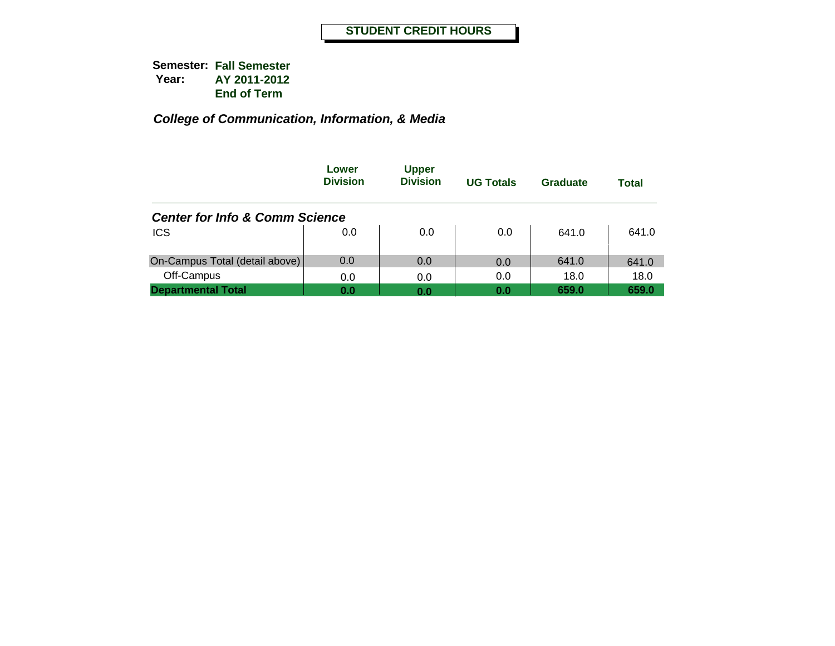|                                           | Lower<br><b>Division</b> | <b>Upper</b><br><b>Division</b> | <b>UG Totals</b> | Graduate | Total |
|-------------------------------------------|--------------------------|---------------------------------|------------------|----------|-------|
| <b>Center for Info &amp; Comm Science</b> |                          |                                 |                  |          |       |
| <b>ICS</b>                                | 0.0                      | 0.0                             | 0.0              | 641.0    | 641.0 |
| On-Campus Total (detail above)            | 0.0                      | 0.0                             | 0.0              | 641.0    | 641.0 |
| Off-Campus                                | 0.0                      | 0.0                             | 0.0              | 18.0     | 18.0  |
| <b>Departmental Total</b>                 | 0.0                      | 0.0                             | 0.0              | 659.0    | 659.0 |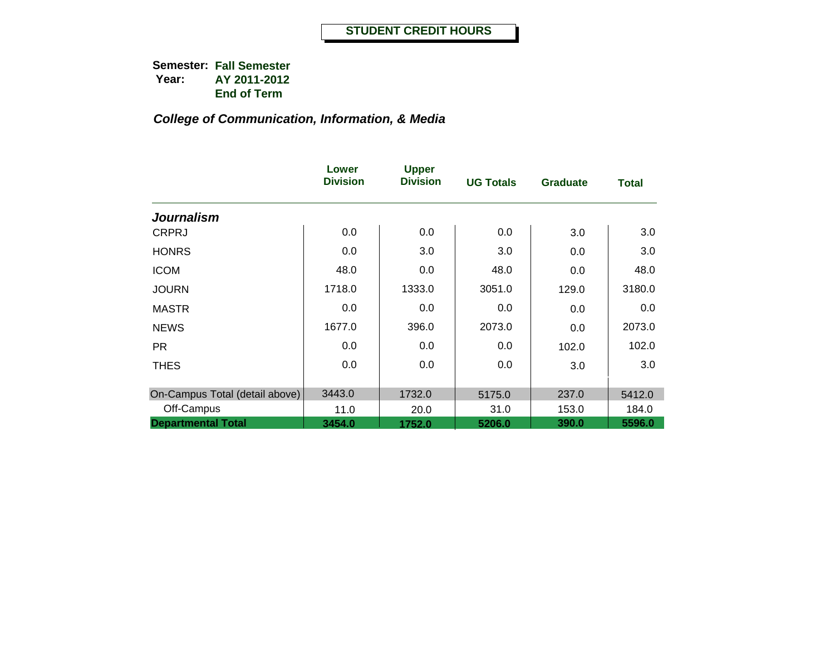|                                | Lower<br><b>Division</b> | <b>Upper</b><br><b>Division</b> | <b>UG Totals</b> | Graduate | <b>Total</b> |
|--------------------------------|--------------------------|---------------------------------|------------------|----------|--------------|
| <b>Journalism</b>              |                          |                                 |                  |          |              |
| <b>CRPRJ</b>                   | 0.0                      | 0.0                             | 0.0              | 3.0      | 3.0          |
| <b>HONRS</b>                   | 0.0                      | 3.0                             | 3.0              | 0.0      | 3.0          |
| <b>ICOM</b>                    | 48.0                     | 0.0                             | 48.0             | 0.0      | 48.0         |
| <b>JOURN</b>                   | 1718.0                   | 1333.0                          | 3051.0           | 129.0    | 3180.0       |
| <b>MASTR</b>                   | 0.0                      | 0.0                             | 0.0              | 0.0      | 0.0          |
| <b>NEWS</b>                    | 1677.0                   | 396.0                           | 2073.0           | 0.0      | 2073.0       |
| <b>PR</b>                      | 0.0                      | 0.0                             | 0.0              | 102.0    | 102.0        |
| <b>THES</b>                    | 0.0                      | 0.0                             | 0.0              | 3.0      | 3.0          |
| On-Campus Total (detail above) | 3443.0                   | 1732.0                          | 5175.0           | 237.0    | 5412.0       |
| Off-Campus                     | 11.0                     | 20.0                            | 31.0             | 153.0    | 184.0        |
| <b>Departmental Total</b>      | 3454.0                   | 1752.0                          | 5206.0           | 390.0    | 5596.0       |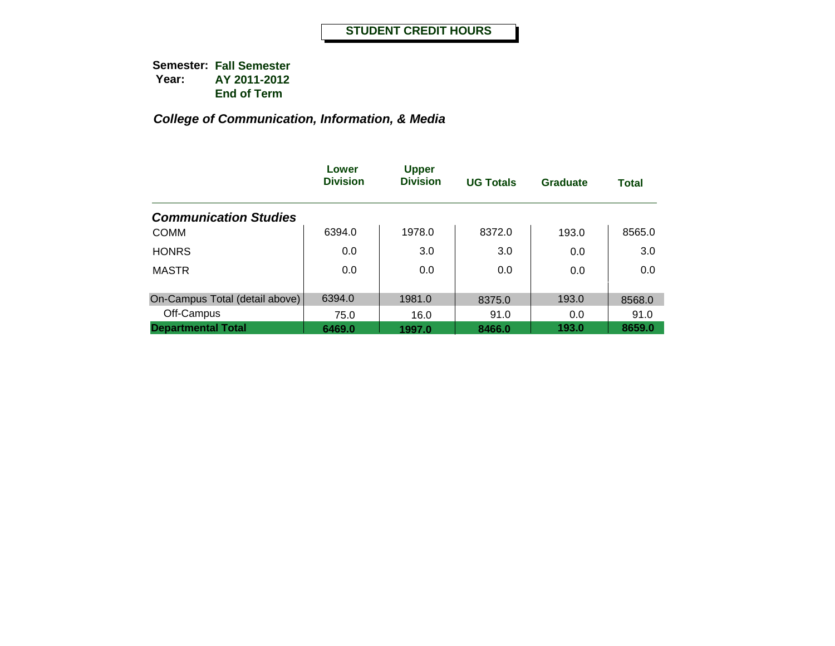|                                | Lower<br><b>Division</b> | <b>Upper</b><br><b>Division</b> | <b>UG Totals</b> | Graduate | <b>Total</b> |
|--------------------------------|--------------------------|---------------------------------|------------------|----------|--------------|
| <b>Communication Studies</b>   |                          |                                 |                  |          |              |
| <b>COMM</b>                    | 6394.0                   | 1978.0                          | 8372.0           | 193.0    | 8565.0       |
| <b>HONRS</b>                   | 0.0                      | 3.0                             | 3.0              | 0.0      | 3.0          |
| <b>MASTR</b>                   | 0.0                      | 0.0                             | 0.0              | 0.0      | 0.0          |
|                                |                          |                                 |                  |          |              |
| On-Campus Total (detail above) | 6394.0                   | 1981.0                          | 8375.0           | 193.0    | 8568.0       |
| Off-Campus                     | 75.0                     | 16.0                            | 91.0             | 0.0      | 91.0         |
| <b>Departmental Total</b>      | 6469.0                   | 1997.0                          | 8466.0           | 193.0    | 8659.0       |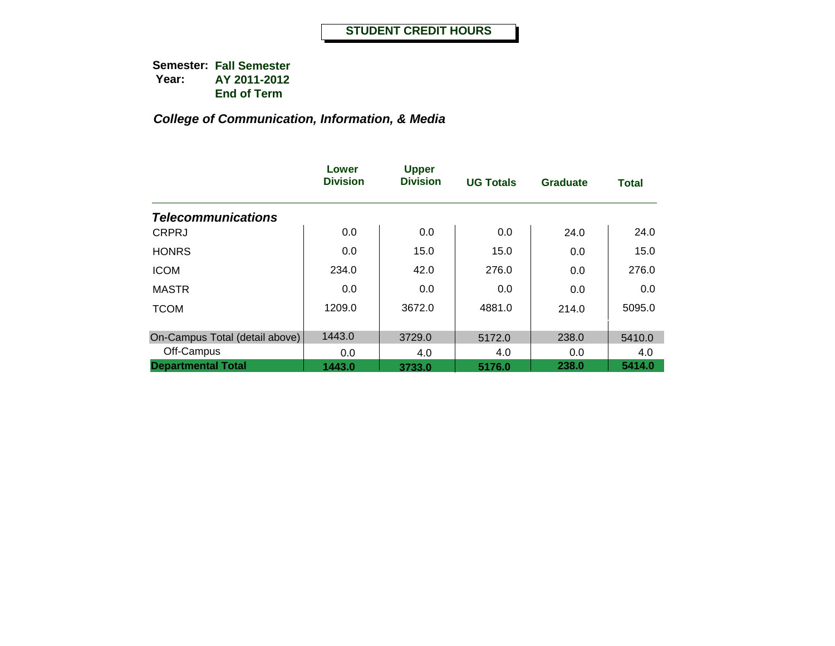|                                | Lower<br><b>Division</b> | <b>Upper</b><br><b>Division</b> | <b>UG Totals</b> | <b>Graduate</b> | <b>Total</b> |
|--------------------------------|--------------------------|---------------------------------|------------------|-----------------|--------------|
| <b>Telecommunications</b>      |                          |                                 |                  |                 |              |
| <b>CRPRJ</b>                   | 0.0                      | 0.0                             | 0.0              | 24.0            | 24.0         |
| <b>HONRS</b>                   | 0.0                      | 15.0                            | 15.0             | 0.0             | 15.0         |
| <b>ICOM</b>                    | 234.0                    | 42.0                            | 276.0            | 0.0             | 276.0        |
| <b>MASTR</b>                   | 0.0                      | 0.0                             | 0.0              | 0.0             | 0.0          |
| <b>TCOM</b>                    | 1209.0                   | 3672.0                          | 4881.0           | 214.0           | 5095.0       |
| On-Campus Total (detail above) | 1443.0                   | 3729.0                          | 5172.0           | 238.0           | 5410.0       |
| Off-Campus                     | 0.0                      | 4.0                             | 4.0              | 0.0             | 4.0          |
| <b>Departmental Total</b>      | 1443.0                   | 3733.0                          | 5176.0           | 238.0           | 5414.0       |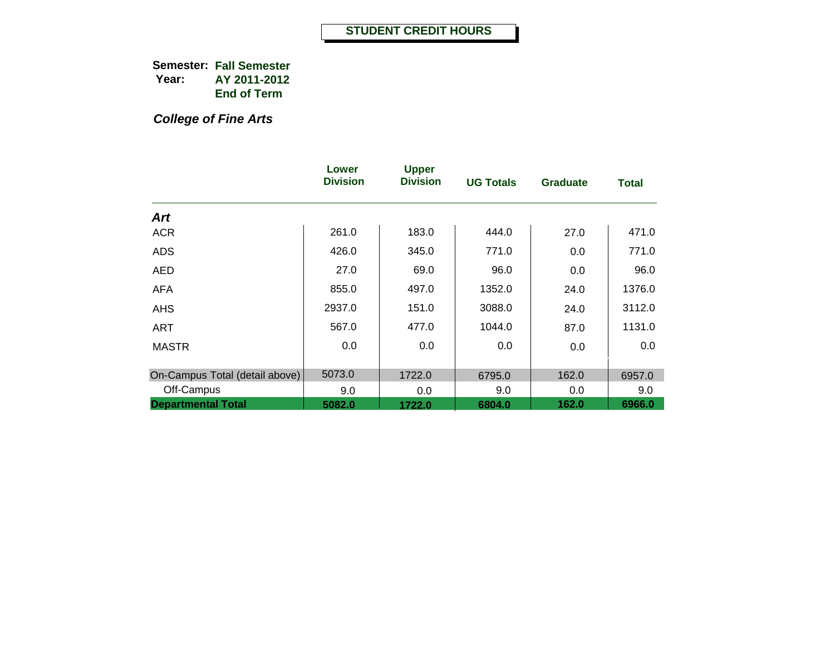*College of Fine Arts*

|                                | Lower<br><b>Division</b> | <b>Upper</b><br><b>Division</b> | <b>UG Totals</b> | <b>Graduate</b> | <b>Total</b> |
|--------------------------------|--------------------------|---------------------------------|------------------|-----------------|--------------|
| Art                            |                          |                                 |                  |                 |              |
| <b>ACR</b>                     | 261.0                    | 183.0                           | 444.0            | 27.0            | 471.0        |
| <b>ADS</b>                     | 426.0                    | 345.0                           | 771.0            | 0.0             | 771.0        |
| AED                            | 27.0                     | 69.0                            | 96.0             | 0.0             | 96.0         |
| <b>AFA</b>                     | 855.0                    | 497.0                           | 1352.0           | 24.0            | 1376.0       |
| <b>AHS</b>                     | 2937.0                   | 151.0                           | 3088.0           | 24.0            | 3112.0       |
| <b>ART</b>                     | 567.0                    | 477.0                           | 1044.0           | 87.0            | 1131.0       |
| <b>MASTR</b>                   | 0.0                      | 0.0                             | 0.0              | 0.0             | 0.0          |
| On-Campus Total (detail above) | 5073.0                   | 1722.0                          | 6795.0           | 162.0           | 6957.0       |
| Off-Campus                     | 9.0                      | 0.0                             | 9.0              | 0.0             | 9.0          |
| <b>Departmental Total</b>      | 5082.0                   | 1722.0                          | 6804.0           | 162.0           | 6966.0       |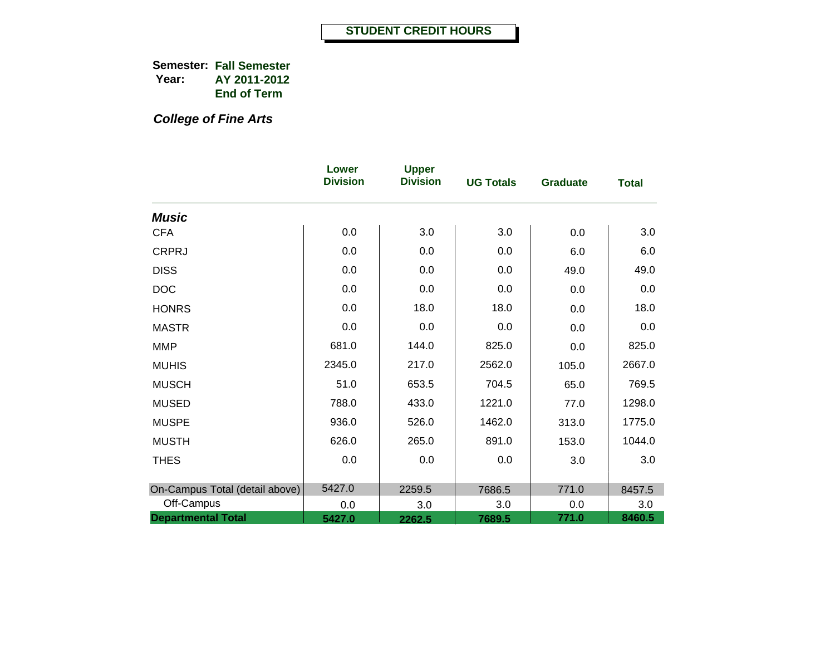*College of Fine Arts*

|                                | Lower<br><b>Division</b> | <b>Upper</b><br><b>Division</b> | <b>UG Totals</b> | <b>Graduate</b> | <b>Total</b> |
|--------------------------------|--------------------------|---------------------------------|------------------|-----------------|--------------|
| <b>Music</b>                   |                          |                                 |                  |                 |              |
| <b>CFA</b>                     | 0.0                      | 3.0                             | 3.0              | 0.0             | 3.0          |
| <b>CRPRJ</b>                   | 0.0                      | 0.0                             | 0.0              | 6.0             | 6.0          |
| <b>DISS</b>                    | 0.0                      | 0.0                             | 0.0              | 49.0            | 49.0         |
| <b>DOC</b>                     | 0.0                      | 0.0                             | 0.0              | 0.0             | 0.0          |
| <b>HONRS</b>                   | 0.0                      | 18.0                            | 18.0             | 0.0             | 18.0         |
| <b>MASTR</b>                   | 0.0                      | 0.0                             | 0.0              | 0.0             | 0.0          |
| <b>MMP</b>                     | 681.0                    | 144.0                           | 825.0            | 0.0             | 825.0        |
| <b>MUHIS</b>                   | 2345.0                   | 217.0                           | 2562.0           | 105.0           | 2667.0       |
| <b>MUSCH</b>                   | 51.0                     | 653.5                           | 704.5            | 65.0            | 769.5        |
| <b>MUSED</b>                   | 788.0                    | 433.0                           | 1221.0           | 77.0            | 1298.0       |
| <b>MUSPE</b>                   | 936.0                    | 526.0                           | 1462.0           | 313.0           | 1775.0       |
| <b>MUSTH</b>                   | 626.0                    | 265.0                           | 891.0            | 153.0           | 1044.0       |
| <b>THES</b>                    | 0.0                      | 0.0                             | 0.0              | 3.0             | 3.0          |
| On-Campus Total (detail above) | 5427.0                   | 2259.5                          | 7686.5           | 771.0           | 8457.5       |
| Off-Campus                     | 0.0                      | 3.0                             | 3.0              | 0.0             | 3.0          |
| <b>Departmental Total</b>      | 5427.0                   | 2262.5                          | 7689.5           | 771.0           | 8460.5       |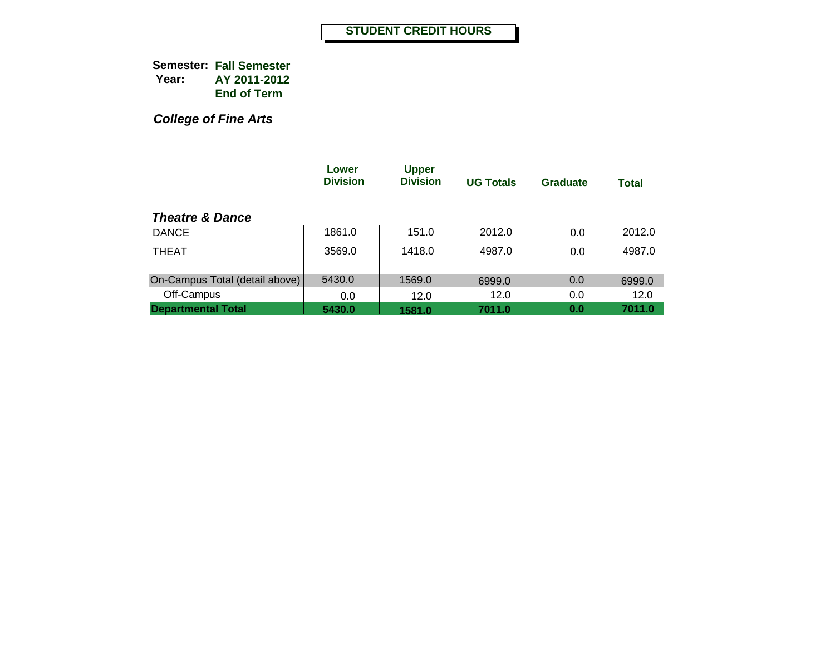*College of Fine Arts*

|                                | Lower<br><b>Division</b> | <b>Upper</b><br><b>Division</b> | <b>UG Totals</b> | <b>Graduate</b> | <b>Total</b> |
|--------------------------------|--------------------------|---------------------------------|------------------|-----------------|--------------|
| <b>Theatre &amp; Dance</b>     |                          |                                 |                  |                 |              |
| <b>DANCE</b>                   | 1861.0                   | 151.0                           | 2012.0           | 0.0             | 2012.0       |
| <b>THEAT</b>                   | 3569.0                   | 1418.0                          | 4987.0           | 0.0             | 4987.0       |
| On-Campus Total (detail above) | 5430.0                   | 1569.0                          | 6999.0           | 0.0             | 6999.0       |
| Off-Campus                     | 0.0                      | 12.0                            | 12.0             | 0.0             | 12.0         |
| <b>Departmental Total</b>      | 5430.0                   | 1581.0                          | 7011.0           | 0.0             | 7011.0       |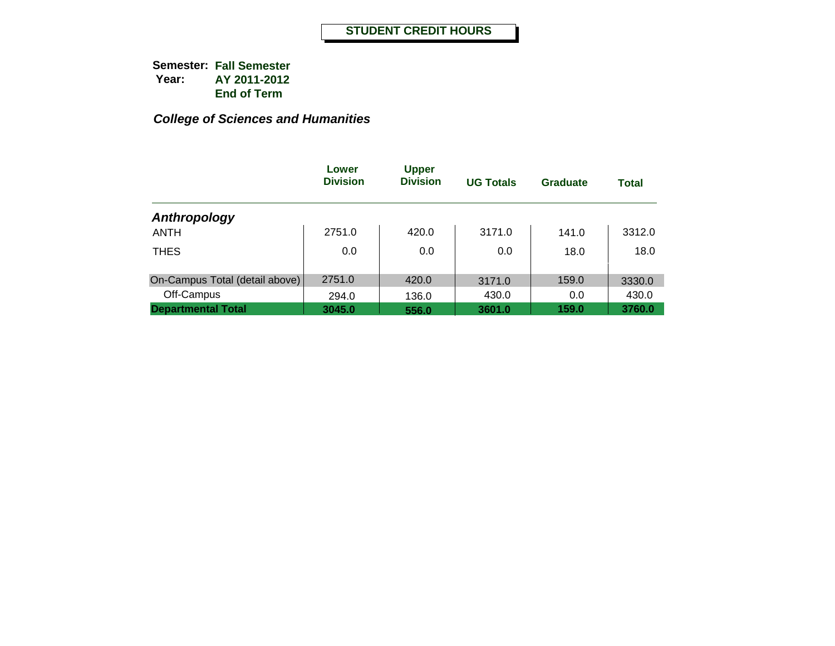|                                | Lower<br><b>Division</b> | <b>Upper</b><br><b>Division</b> | <b>UG Totals</b> | <b>Graduate</b> | <b>Total</b> |
|--------------------------------|--------------------------|---------------------------------|------------------|-----------------|--------------|
| Anthropology                   |                          |                                 |                  |                 |              |
| <b>ANTH</b>                    | 2751.0                   | 420.0                           | 3171.0           | 141.0           | 3312.0       |
| <b>THES</b>                    | 0.0                      | 0.0                             | 0.0              | 18.0            | 18.0         |
| On-Campus Total (detail above) | 2751.0                   | 420.0                           | 3171.0           | 159.0           | 3330.0       |
| Off-Campus                     | 294.0                    | 136.0                           | 430.0            | 0.0             | 430.0        |
| <b>Departmental Total</b>      | 3045.0                   | 556.0                           | 3601.0           | 159.0           | 3760.0       |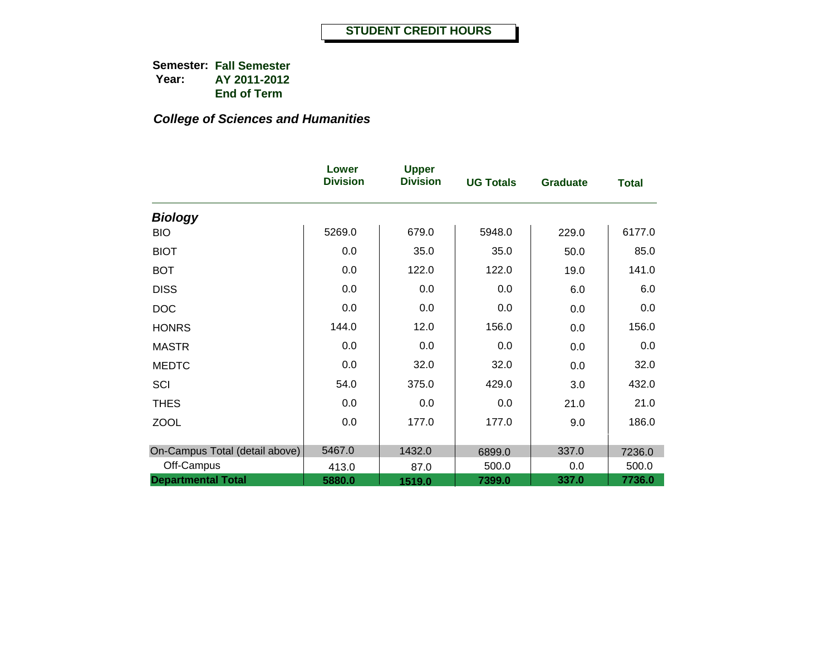|                                | Lower<br><b>Division</b> | <b>Upper</b><br><b>Division</b> | <b>UG Totals</b> | <b>Graduate</b> | <b>Total</b> |
|--------------------------------|--------------------------|---------------------------------|------------------|-----------------|--------------|
| <b>Biology</b>                 |                          |                                 |                  |                 |              |
| <b>BIO</b>                     | 5269.0                   | 679.0                           | 5948.0           | 229.0           | 6177.0       |
| <b>BIOT</b>                    | 0.0                      | 35.0                            | 35.0             | 50.0            | 85.0         |
| <b>BOT</b>                     | 0.0                      | 122.0                           | 122.0            | 19.0            | 141.0        |
| <b>DISS</b>                    | 0.0                      | 0.0                             | 0.0              | 6.0             | 6.0          |
| <b>DOC</b>                     | 0.0                      | 0.0                             | 0.0              | 0.0             | 0.0          |
| <b>HONRS</b>                   | 144.0                    | 12.0                            | 156.0            | 0.0             | 156.0        |
| <b>MASTR</b>                   | 0.0                      | 0.0                             | 0.0              | 0.0             | 0.0          |
| <b>MEDTC</b>                   | 0.0                      | 32.0                            | 32.0             | 0.0             | 32.0         |
| SCI                            | 54.0                     | 375.0                           | 429.0            | 3.0             | 432.0        |
| <b>THES</b>                    | 0.0                      | 0.0                             | 0.0              | 21.0            | 21.0         |
| <b>ZOOL</b>                    | 0.0                      | 177.0                           | 177.0            | 9.0             | 186.0        |
|                                |                          |                                 |                  |                 |              |
| On-Campus Total (detail above) | 5467.0                   | 1432.0                          | 6899.0           | 337.0           | 7236.0       |
| Off-Campus                     | 413.0                    | 87.0                            | 500.0            | 0.0             | 500.0        |
| <b>Departmental Total</b>      | 5880.0                   | 1519.0                          | 7399.0           | 337.0           | 7736.0       |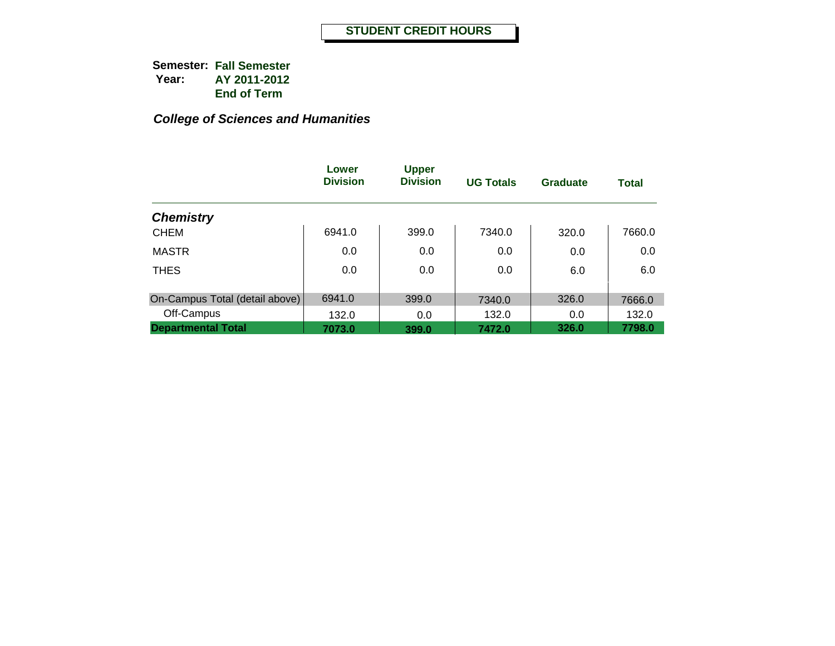|                                | Lower<br><b>Division</b> | <b>Upper</b><br><b>Division</b> | <b>UG Totals</b> | <b>Graduate</b> | <b>Total</b> |
|--------------------------------|--------------------------|---------------------------------|------------------|-----------------|--------------|
| <b>Chemistry</b>               |                          |                                 |                  |                 |              |
| <b>CHEM</b>                    | 6941.0                   | 399.0                           | 7340.0           | 320.0           | 7660.0       |
| <b>MASTR</b>                   | 0.0                      | 0.0                             | 0.0              | 0.0             | 0.0          |
| <b>THES</b>                    | 0.0                      | 0.0                             | 0.0              | 6.0             | 6.0          |
| On-Campus Total (detail above) | 6941.0                   | 399.0                           | 7340.0           | 326.0           | 7666.0       |
| Off-Campus                     | 132.0                    | 0.0                             | 132.0            | 0.0             | 132.0        |
| <b>Departmental Total</b>      | 7073.0                   | 399.0                           | 7472.0           | 326.0           | 7798.0       |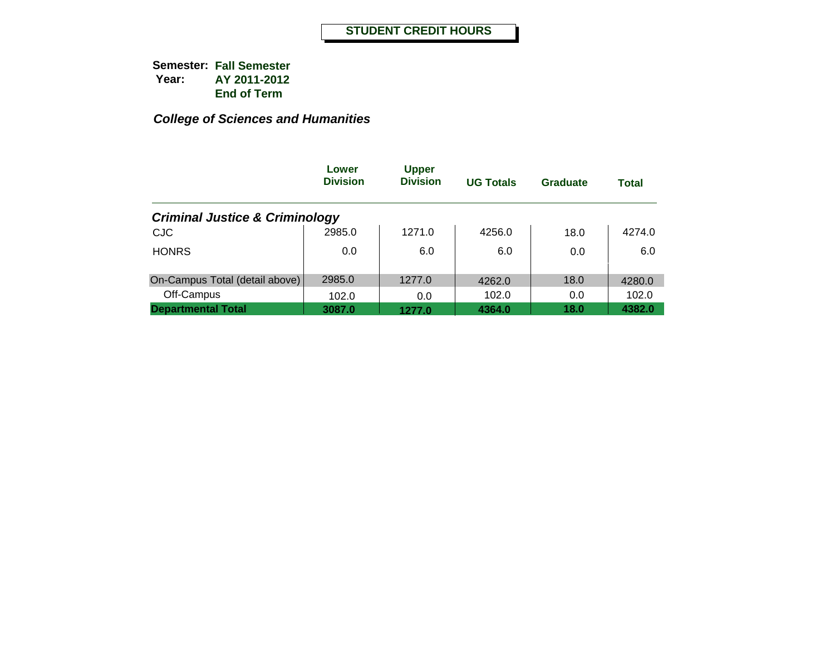|                                           | Lower<br><b>Division</b> | <b>Upper</b><br><b>Division</b> | <b>UG Totals</b> | <b>Graduate</b> | <b>Total</b> |
|-------------------------------------------|--------------------------|---------------------------------|------------------|-----------------|--------------|
| <b>Criminal Justice &amp; Criminology</b> |                          |                                 |                  |                 |              |
| <b>CJC</b>                                | 2985.0                   | 1271.0                          | 4256.0           | 18.0            | 4274.0       |
| <b>HONRS</b>                              | 0.0                      | 6.0                             | 6.0              | 0.0             | 6.0          |
| On-Campus Total (detail above)            | 2985.0                   | 1277.0                          | 4262.0           | 18.0            | 4280.0       |
| Off-Campus                                | 102.0                    | 0.0                             | 102.0            | 0.0             | 102.0        |
| <b>Departmental Total</b>                 | 3087.0                   | 1277.0                          | 4364.0           | 18.0            | 4382.0       |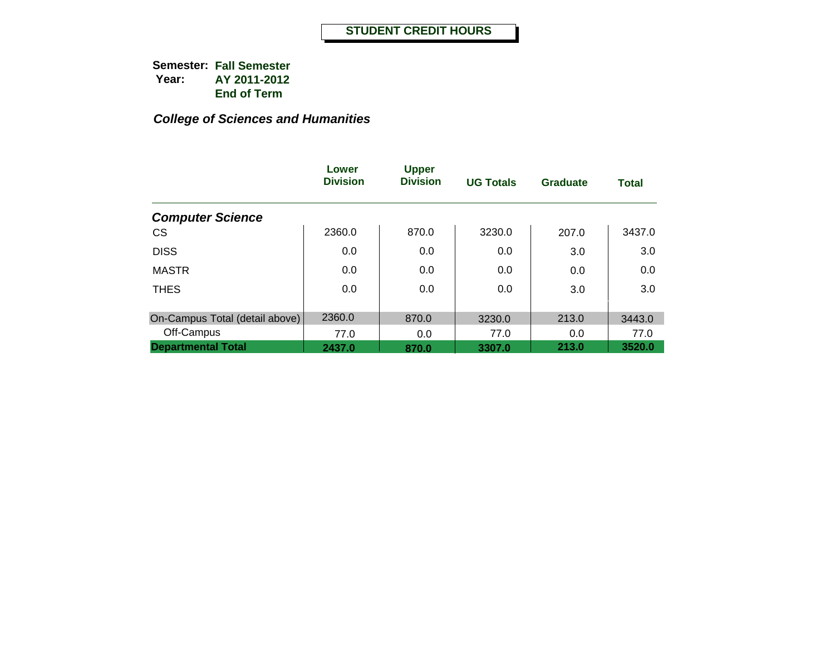|                                | Lower<br><b>Division</b> | <b>Upper</b><br><b>Division</b> | <b>UG Totals</b> | <b>Graduate</b> | <b>Total</b> |
|--------------------------------|--------------------------|---------------------------------|------------------|-----------------|--------------|
| <b>Computer Science</b>        |                          |                                 |                  |                 |              |
| <b>CS</b>                      | 2360.0                   | 870.0                           | 3230.0           | 207.0           | 3437.0       |
| <b>DISS</b>                    | 0.0                      | 0.0                             | 0.0              | 3.0             | 3.0          |
| <b>MASTR</b>                   | 0.0                      | 0.0                             | 0.0              | 0.0             | 0.0          |
| <b>THES</b>                    | 0.0                      | 0.0                             | 0.0              | 3.0             | 3.0          |
| On-Campus Total (detail above) | 2360.0                   | 870.0                           |                  | 213.0           |              |
|                                |                          |                                 | 3230.0           |                 | 3443.0       |
| Off-Campus                     | 77.0                     | 0.0                             | 77.0             | 0.0             | 77.0         |
| <b>Departmental Total</b>      | 2437.0                   | 870.0                           | 3307.0           | 213.0           | 3520.0       |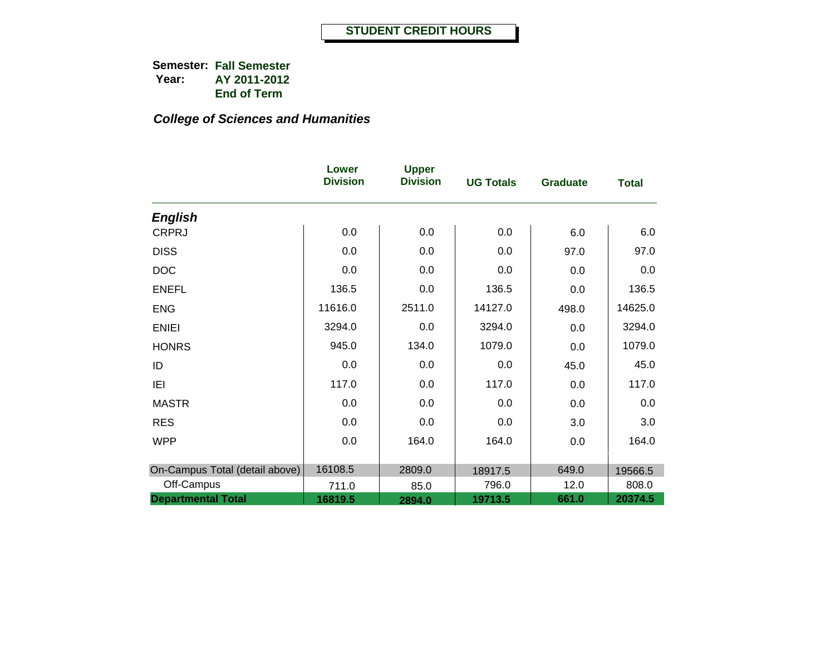|                                | Lower<br><b>Division</b> | <b>Upper</b><br><b>Division</b> | <b>UG Totals</b> | <b>Graduate</b> | <b>Total</b> |
|--------------------------------|--------------------------|---------------------------------|------------------|-----------------|--------------|
| <b>English</b>                 |                          |                                 |                  |                 |              |
| <b>CRPRJ</b>                   | 0.0                      | 0.0                             | 0.0              | 6.0             | 6.0          |
| <b>DISS</b>                    | 0.0                      | 0.0                             | 0.0              | 97.0            | 97.0         |
| <b>DOC</b>                     | 0.0                      | 0.0                             | 0.0              | 0.0             | 0.0          |
| <b>ENEFL</b>                   | 136.5                    | 0.0                             | 136.5            | 0.0             | 136.5        |
| <b>ENG</b>                     | 11616.0                  | 2511.0                          | 14127.0          | 498.0           | 14625.0      |
| <b>ENIEI</b>                   | 3294.0                   | 0.0                             | 3294.0           | 0.0             | 3294.0       |
| <b>HONRS</b>                   | 945.0                    | 134.0                           | 1079.0           | 0.0             | 1079.0       |
| ID                             | 0.0                      | 0.0                             | 0.0              | 45.0            | 45.0         |
| IEI                            | 117.0                    | 0.0                             | 117.0            | 0.0             | 117.0        |
| <b>MASTR</b>                   | 0.0                      | 0.0                             | 0.0              | 0.0             | 0.0          |
| <b>RES</b>                     | 0.0                      | 0.0                             | 0.0              | 3.0             | 3.0          |
| <b>WPP</b>                     | 0.0                      | 164.0                           | 164.0            | 0.0             | 164.0        |
| On-Campus Total (detail above) | 16108.5                  | 2809.0                          | 18917.5          | 649.0           | 19566.5      |
| Off-Campus                     | 711.0                    | 85.0                            | 796.0            | 12.0            | 808.0        |
| <b>Departmental Total</b>      | 16819.5                  | 2894.0                          | 19713.5          | 661.0           | 20374.5      |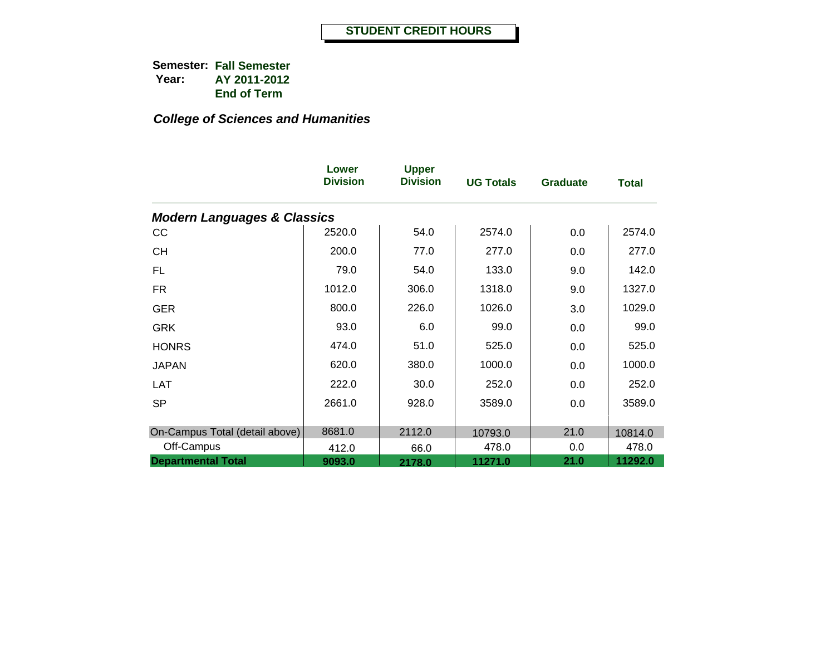|                                        | Lower<br><b>Division</b> | <b>Upper</b><br><b>Division</b> | <b>UG Totals</b> | <b>Graduate</b> | <b>Total</b> |
|----------------------------------------|--------------------------|---------------------------------|------------------|-----------------|--------------|
| <b>Modern Languages &amp; Classics</b> |                          |                                 |                  |                 |              |
| cc                                     | 2520.0                   | 54.0                            | 2574.0           | 0.0             | 2574.0       |
| <b>CH</b>                              | 200.0                    | 77.0                            | 277.0            | 0.0             | 277.0        |
| FL.                                    | 79.0                     | 54.0                            | 133.0            | 9.0             | 142.0        |
| <b>FR</b>                              | 1012.0                   | 306.0                           | 1318.0           | 9.0             | 1327.0       |
| <b>GER</b>                             | 800.0                    | 226.0                           | 1026.0           | 3.0             | 1029.0       |
| <b>GRK</b>                             | 93.0                     | 6.0                             | 99.0             | 0.0             | 99.0         |
| <b>HONRS</b>                           | 474.0                    | 51.0                            | 525.0            | 0.0             | 525.0        |
| <b>JAPAN</b>                           | 620.0                    | 380.0                           | 1000.0           | 0.0             | 1000.0       |
| LAT                                    | 222.0                    | 30.0                            | 252.0            | 0.0             | 252.0        |
| <b>SP</b>                              | 2661.0                   | 928.0                           | 3589.0           | 0.0             | 3589.0       |
|                                        |                          |                                 |                  |                 |              |
| On-Campus Total (detail above)         | 8681.0                   | 2112.0                          | 10793.0          | 21.0            | 10814.0      |
| Off-Campus                             | 412.0                    | 66.0                            | 478.0            | 0.0             | 478.0        |
| <b>Departmental Total</b>              | 9093.0                   | 2178.0                          | 11271.0          | 21.0            | 11292.0      |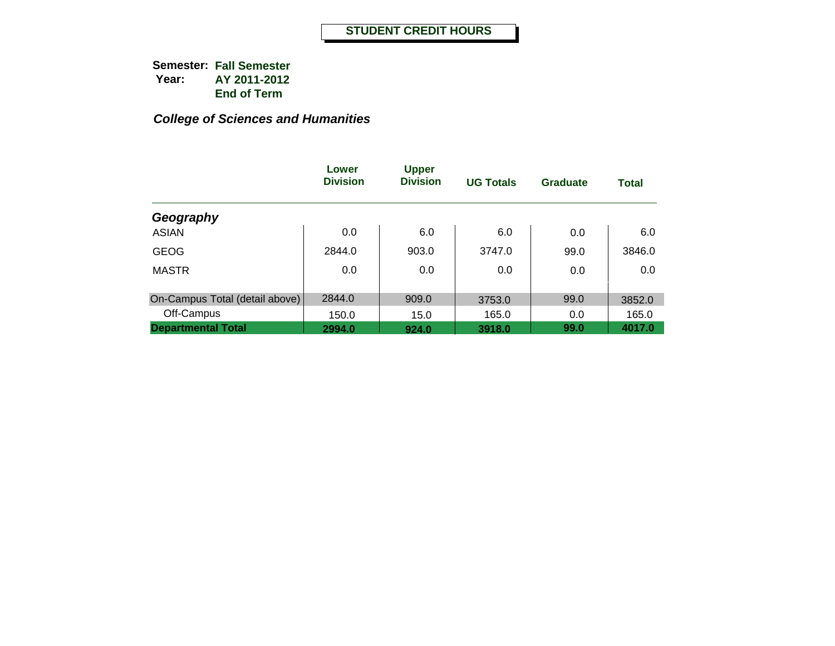|                                | Lower<br><b>Division</b> | <b>Upper</b><br><b>Division</b> | <b>UG Totals</b> | <b>Graduate</b> | <b>Total</b> |
|--------------------------------|--------------------------|---------------------------------|------------------|-----------------|--------------|
| Geography                      |                          |                                 |                  |                 |              |
| <b>ASIAN</b>                   | 0.0                      | 6.0                             | 6.0              | 0.0             | 6.0          |
| <b>GEOG</b>                    | 2844.0                   | 903.0                           | 3747.0           | 99.0            | 3846.0       |
| <b>MASTR</b>                   | 0.0                      | 0.0                             | 0.0              | 0.0             | 0.0          |
| On-Campus Total (detail above) | 2844.0                   | 909.0                           | 3753.0           | 99.0            | 3852.0       |
| Off-Campus                     | 150.0                    | 15.0                            | 165.0            | 0.0             | 165.0        |
| <b>Departmental Total</b>      | 2994.0                   | 924.0                           | 3918.0           | 99.0            | 4017.0       |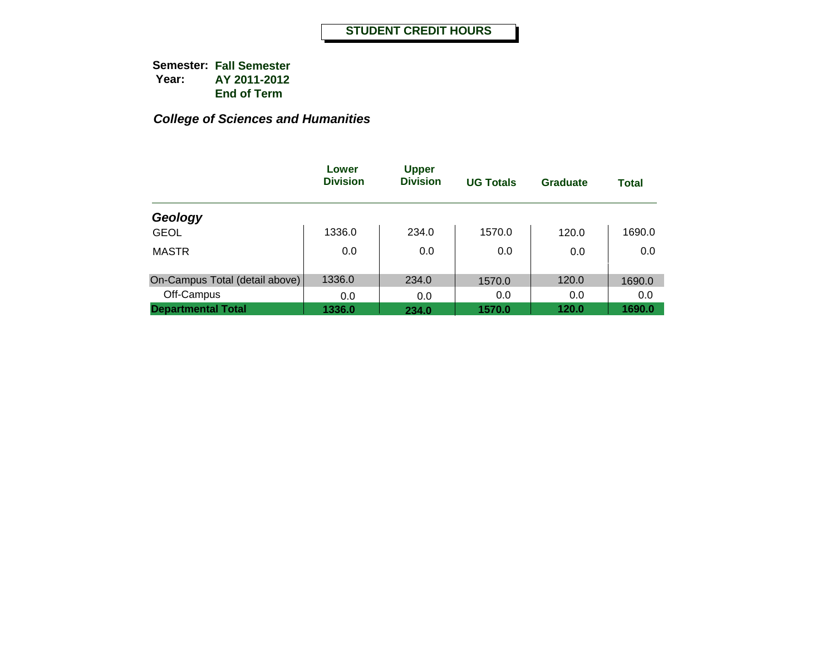|                                | Lower<br><b>Division</b> | <b>Upper</b><br><b>Division</b> | <b>UG Totals</b> | Graduate | <b>Total</b> |
|--------------------------------|--------------------------|---------------------------------|------------------|----------|--------------|
| Geology                        |                          |                                 |                  |          |              |
| <b>GEOL</b>                    | 1336.0                   | 234.0                           | 1570.0           | 120.0    | 1690.0       |
| <b>MASTR</b>                   | 0.0                      | 0.0                             | 0.0              | 0.0      | 0.0          |
| On-Campus Total (detail above) | 1336.0                   | 234.0                           | 1570.0           | 120.0    | 1690.0       |
| Off-Campus                     | 0.0                      | 0.0                             | 0.0              | 0.0      | 0.0          |
| <b>Departmental Total</b>      | 1336.0                   | 234.0                           | 1570.0           | 120.0    | 1690.0       |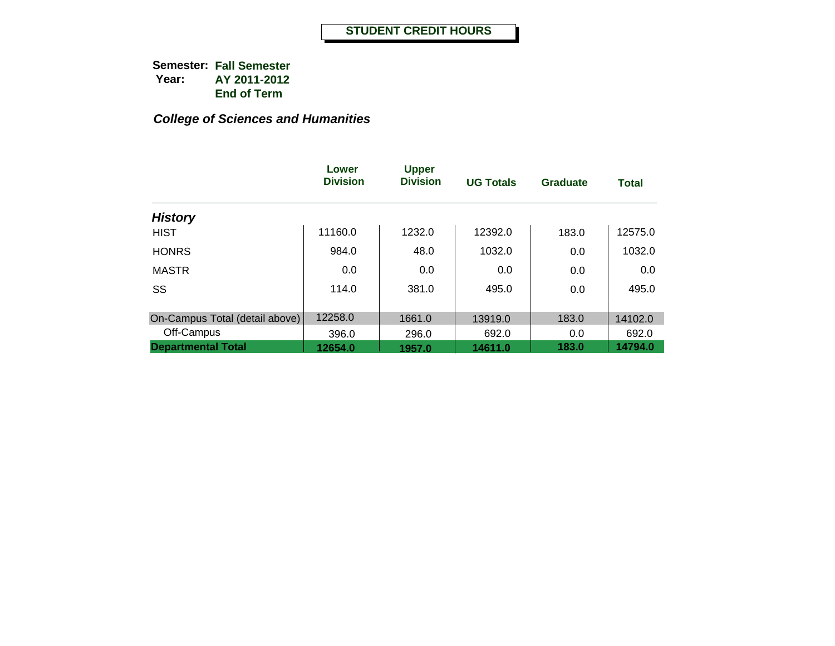|                                | Lower<br><b>Division</b> | <b>Upper</b><br><b>Division</b> | <b>UG Totals</b> | Graduate | <b>Total</b> |
|--------------------------------|--------------------------|---------------------------------|------------------|----------|--------------|
| <b>History</b>                 |                          |                                 |                  |          |              |
| <b>HIST</b>                    | 11160.0                  | 1232.0                          | 12392.0          | 183.0    | 12575.0      |
| <b>HONRS</b>                   | 984.0                    | 48.0                            | 1032.0           | 0.0      | 1032.0       |
| <b>MASTR</b>                   | 0.0                      | 0.0                             | 0.0              | 0.0      | 0.0          |
| SS                             | 114.0                    | 381.0                           | 495.0            | 0.0      | 495.0        |
| On-Campus Total (detail above) | 12258.0                  | 1661.0                          | 13919.0          | 183.0    | 14102.0      |
| Off-Campus                     | 396.0                    | 296.0                           | 692.0            | 0.0      | 692.0        |
| <b>Departmental Total</b>      | 12654.0                  | 1957.0                          | 14611.0          | 183.0    | 14794.0      |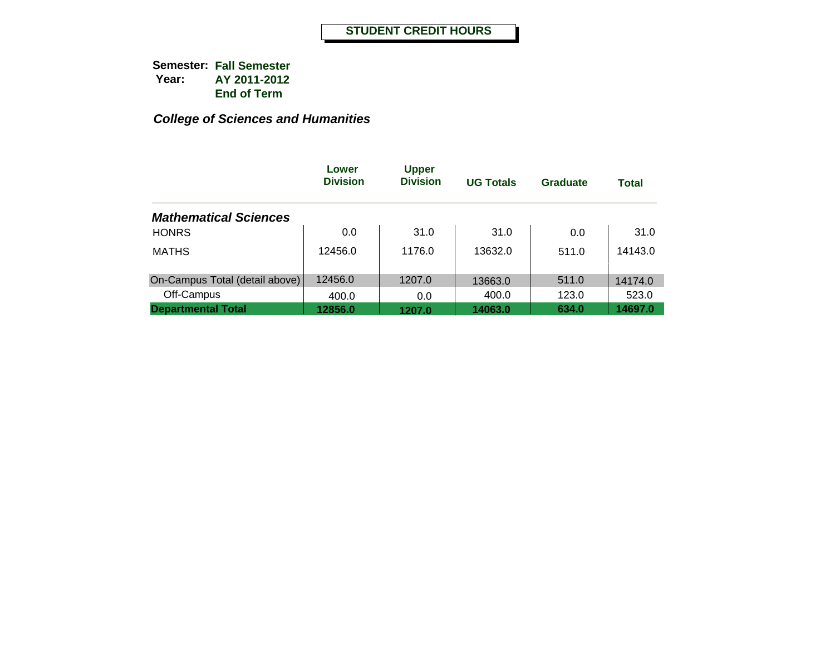|                                | Lower<br><b>Division</b> | <b>Upper</b><br><b>Division</b> | <b>UG Totals</b> | <b>Graduate</b> | <b>Total</b> |
|--------------------------------|--------------------------|---------------------------------|------------------|-----------------|--------------|
| <b>Mathematical Sciences</b>   |                          |                                 |                  |                 |              |
| <b>HONRS</b>                   | 0.0                      | 31.0                            | 31.0             | 0.0             | 31.0         |
| <b>MATHS</b>                   | 12456.0                  | 1176.0                          | 13632.0          | 511.0           | 14143.0      |
| On-Campus Total (detail above) | 12456.0                  | 1207.0                          | 13663.0          | 511.0           | 14174.0      |
| Off-Campus                     | 400.0                    | 0.0                             | 400.0            | 123.0           | 523.0        |
| <b>Departmental Total</b>      | 12856.0                  | 1207.0                          | 14063.0          | 634.0           | 14697.0      |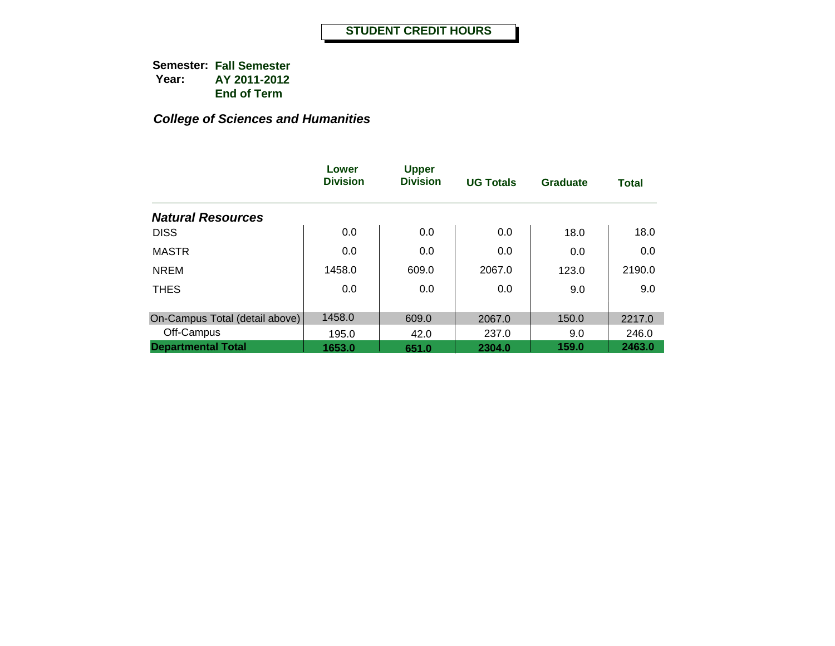|                                | Lower<br><b>Division</b> | <b>Upper</b><br><b>Division</b> | <b>UG Totals</b> | <b>Graduate</b> | <b>Total</b> |
|--------------------------------|--------------------------|---------------------------------|------------------|-----------------|--------------|
| <b>Natural Resources</b>       |                          |                                 |                  |                 |              |
| <b>DISS</b>                    | 0.0                      | 0.0                             | 0.0              | 18.0            | 18.0         |
| <b>MASTR</b>                   | 0.0                      | 0.0                             | 0.0              | 0.0             | 0.0          |
| <b>NREM</b>                    | 1458.0                   | 609.0                           | 2067.0           | 123.0           | 2190.0       |
| <b>THES</b>                    | 0.0                      | 0.0                             | 0.0              | 9.0             | 9.0          |
|                                | 1458.0                   |                                 |                  |                 |              |
| On-Campus Total (detail above) |                          | 609.0                           | 2067.0           | 150.0           | 2217.0       |
| Off-Campus                     | 195.0                    | 42.0                            | 237.0            | 9.0             | 246.0        |
| <b>Departmental Total</b>      | 1653.0                   | 651.0                           | 2304.0           | 159.0           | 2463.0       |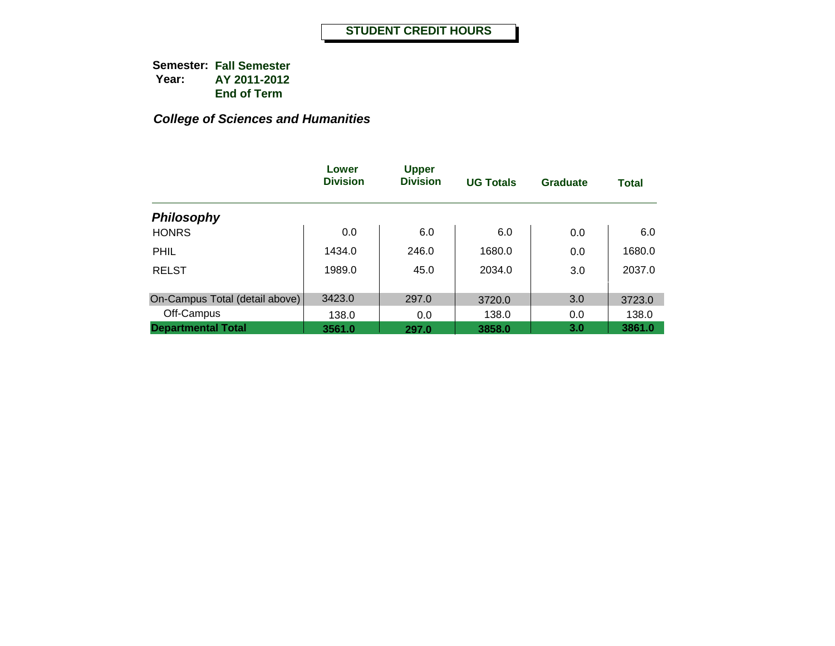|                                | Lower<br><b>Division</b> | <b>Upper</b><br><b>Division</b> | <b>UG Totals</b> | <b>Graduate</b> | <b>Total</b> |
|--------------------------------|--------------------------|---------------------------------|------------------|-----------------|--------------|
| <b>Philosophy</b>              |                          |                                 |                  |                 |              |
| <b>HONRS</b>                   | 0.0                      | 6.0                             | 6.0              | 0.0             | 6.0          |
| <b>PHIL</b>                    | 1434.0                   | 246.0                           | 1680.0           | 0.0             | 1680.0       |
| <b>RELST</b>                   | 1989.0                   | 45.0                            | 2034.0           | 3.0             | 2037.0       |
|                                |                          |                                 |                  |                 |              |
| On-Campus Total (detail above) | 3423.0                   | 297.0                           | 3720.0           | 3.0             | 3723.0       |
| Off-Campus                     | 138.0                    | 0.0                             | 138.0            | 0.0             | 138.0        |
| <b>Departmental Total</b>      | 3561.0                   | 297.0                           | 3858.0           | 3.0             | 3861.0       |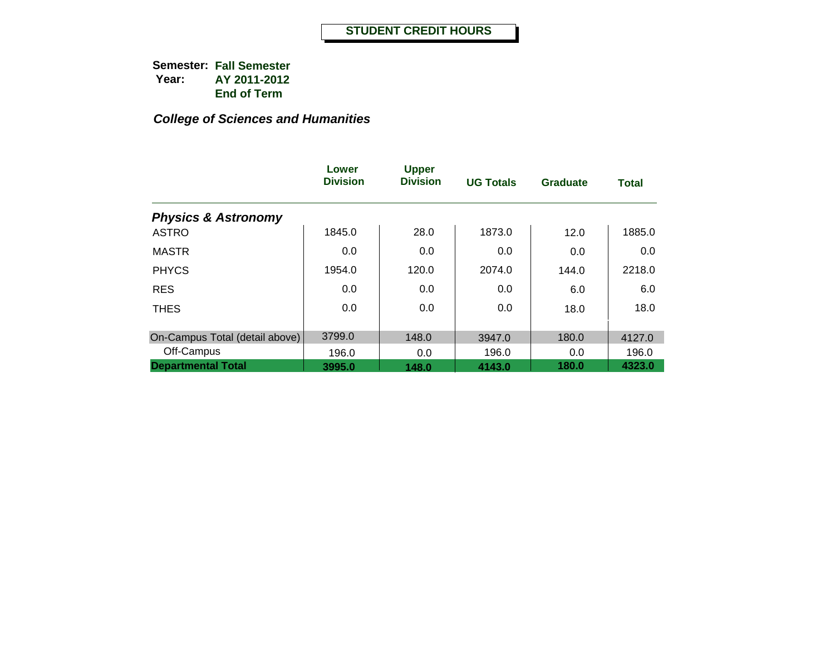|                                | Lower<br><b>Division</b> | <b>Upper</b><br><b>Division</b> | <b>UG Totals</b> | <b>Graduate</b> | <b>Total</b> |
|--------------------------------|--------------------------|---------------------------------|------------------|-----------------|--------------|
| <b>Physics &amp; Astronomy</b> |                          |                                 |                  |                 |              |
| <b>ASTRO</b>                   | 1845.0                   | 28.0                            | 1873.0           | 12.0            | 1885.0       |
| <b>MASTR</b>                   | 0.0                      | 0.0                             | 0.0              | 0.0             | 0.0          |
| <b>PHYCS</b>                   | 1954.0                   | 120.0                           | 2074.0           | 144.0           | 2218.0       |
| <b>RES</b>                     | 0.0                      | 0.0                             | 0.0              | 6.0             | 6.0          |
| <b>THES</b>                    | 0.0                      | 0.0                             | 0.0              | 18.0            | 18.0         |
| On-Campus Total (detail above) | 3799.0                   | 148.0                           | 3947.0           | 180.0           | 4127.0       |
| Off-Campus                     | 196.0                    | 0.0                             | 196.0            | 0.0             | 196.0        |
| <b>Departmental Total</b>      | 3995.0                   | 148.0                           | 4143.0           | 180.0           | 4323.0       |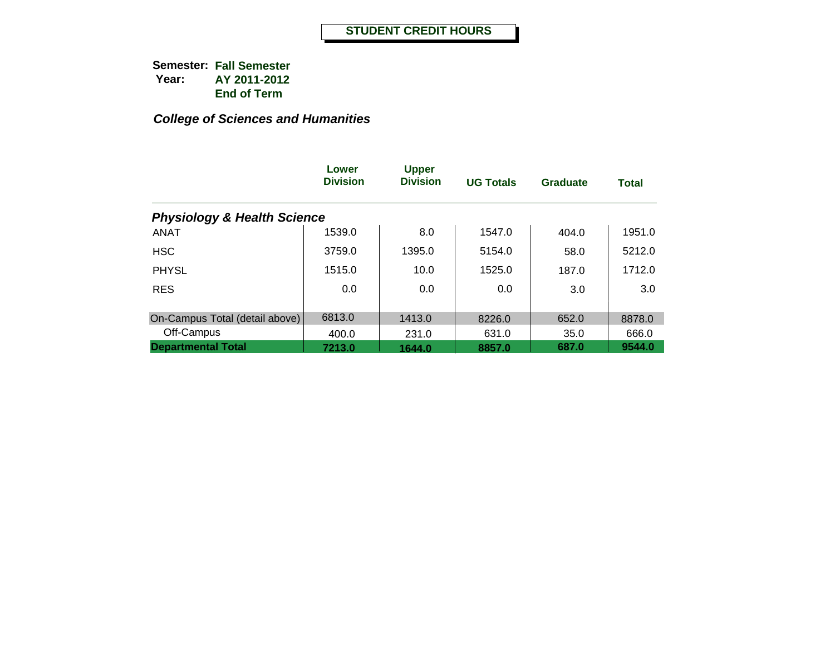|                                        | Lower<br><b>Division</b> | <b>Upper</b><br><b>Division</b> | <b>UG Totals</b> | <b>Graduate</b> | Total  |
|----------------------------------------|--------------------------|---------------------------------|------------------|-----------------|--------|
| <b>Physiology &amp; Health Science</b> |                          |                                 |                  |                 |        |
| <b>ANAT</b>                            | 1539.0                   | 8.0                             | 1547.0           | 404.0           | 1951.0 |
| <b>HSC</b>                             | 3759.0                   | 1395.0                          | 5154.0           | 58.0            | 5212.0 |
| <b>PHYSL</b>                           | 1515.0                   | 10.0                            | 1525.0           | 187.0           | 1712.0 |
| <b>RES</b>                             | 0.0                      | 0.0                             | 0.0              | 3.0             | 3.0    |
| On-Campus Total (detail above)         | 6813.0                   | 1413.0                          | 8226.0           | 652.0           | 8878.0 |
| Off-Campus                             | 400.0                    | 231.0                           | 631.0            | 35.0            | 666.0  |
| <b>Departmental Total</b>              | 7213.0                   | 1644.0                          | 8857.0           | 687.0           | 9544.0 |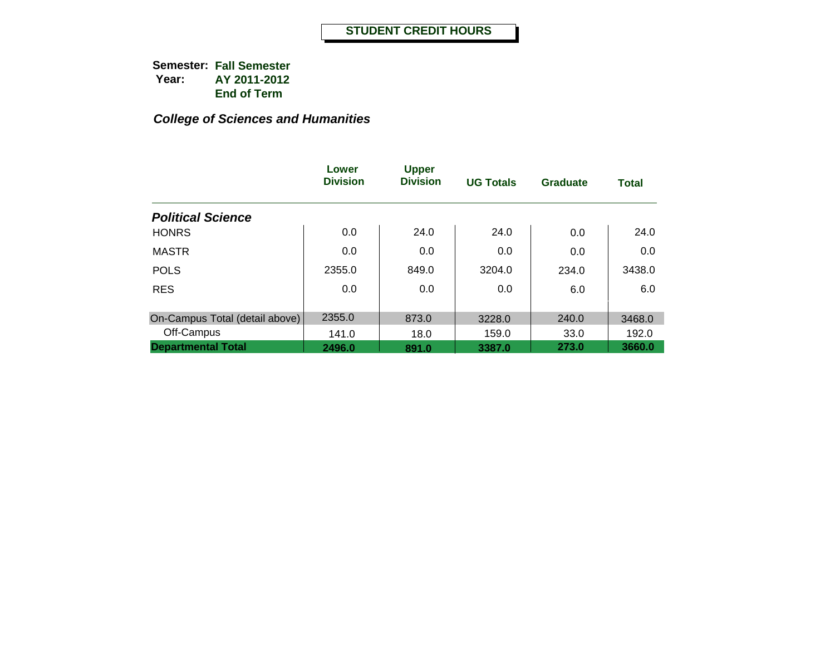|                                | Lower<br><b>Division</b> | <b>Upper</b><br><b>Division</b> | <b>UG Totals</b> | Graduate | <b>Total</b> |
|--------------------------------|--------------------------|---------------------------------|------------------|----------|--------------|
| <b>Political Science</b>       |                          |                                 |                  |          |              |
| <b>HONRS</b>                   | 0.0                      | 24.0                            | 24.0             | 0.0      | 24.0         |
| <b>MASTR</b>                   | 0.0                      | 0.0                             | 0.0              | 0.0      | 0.0          |
| <b>POLS</b>                    | 2355.0                   | 849.0                           | 3204.0           | 234.0    | 3438.0       |
| <b>RES</b>                     | 0.0                      | 0.0                             | 0.0              | 6.0      | 6.0          |
| On-Campus Total (detail above) | 2355.0                   | 873.0                           | 3228.0           | 240.0    | 3468.0       |
| Off-Campus                     | 141.0                    | 18.0                            | 159.0            | 33.0     | 192.0        |
| <b>Departmental Total</b>      | 2496.0                   | 891.0                           | 3387.0           | 273.0    | 3660.0       |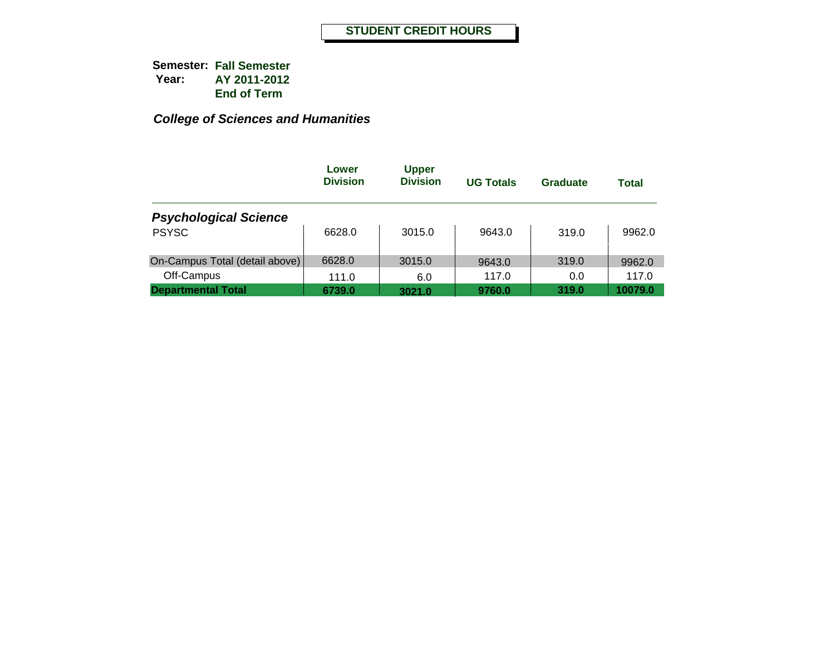|                                | Lower<br><b>Division</b> | <b>Upper</b><br><b>Division</b> | <b>UG Totals</b> | Graduate | Total   |
|--------------------------------|--------------------------|---------------------------------|------------------|----------|---------|
| <b>Psychological Science</b>   |                          |                                 |                  |          |         |
| <b>PSYSC</b>                   | 6628.0                   | 3015.0                          | 9643.0           | 319.0    | 9962.0  |
| On-Campus Total (detail above) | 6628.0                   | 3015.0                          | 9643.0           | 319.0    | 9962.0  |
| Off-Campus                     | 111.0                    | 6.0                             | 117.0            | 0.0      | 117.0   |
| <b>Departmental Total</b>      | 6739.0                   | 3021.0                          | 9760.0           | 319.0    | 10079.0 |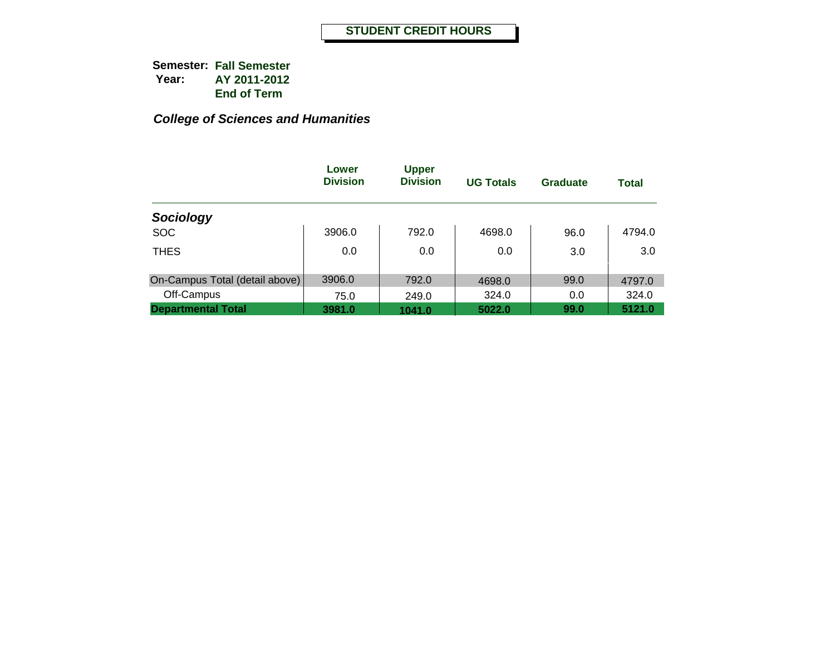|                                | Lower<br><b>Division</b> | <b>Upper</b><br><b>Division</b> | <b>UG Totals</b> | <b>Graduate</b> | <b>Total</b> |
|--------------------------------|--------------------------|---------------------------------|------------------|-----------------|--------------|
| Sociology                      |                          |                                 |                  |                 |              |
| <b>SOC</b>                     | 3906.0                   | 792.0                           | 4698.0           | 96.0            | 4794.0       |
| <b>THES</b>                    | 0.0                      | 0.0                             | 0.0              | 3.0             | 3.0          |
| On-Campus Total (detail above) | 3906.0                   | 792.0                           | 4698.0           | 99.0            | 4797.0       |
| Off-Campus                     | 75.0                     | 249.0                           | 324.0            | 0.0             | 324.0        |
| <b>Departmental Total</b>      | 3981.0                   | 1041.0                          | 5022.0           | 99.0            | 5121.0       |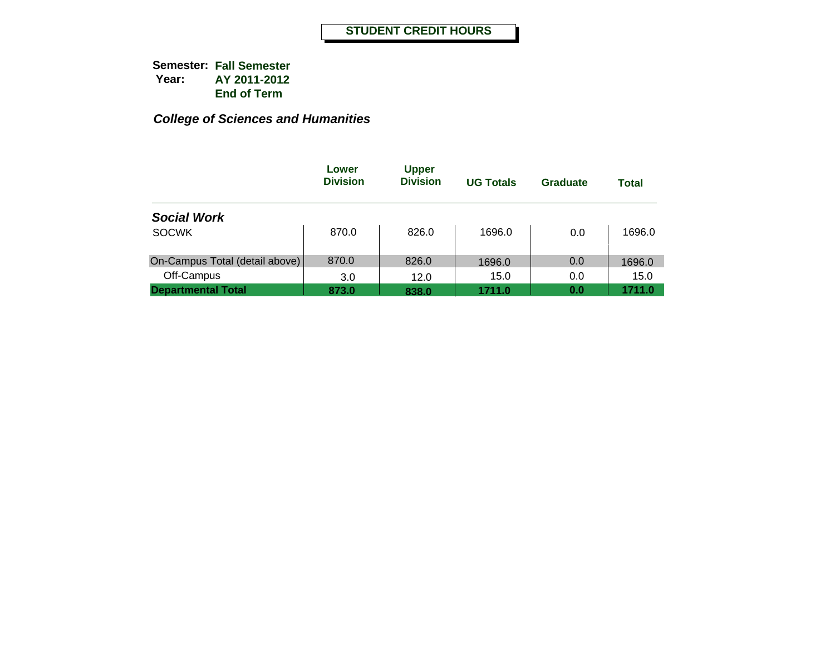|                                | Lower<br><b>Division</b> | <b>Upper</b><br><b>Division</b> | <b>UG Totals</b> | Graduate | Total  |
|--------------------------------|--------------------------|---------------------------------|------------------|----------|--------|
| <b>Social Work</b>             |                          |                                 |                  |          |        |
| <b>SOCWK</b>                   | 870.0                    | 826.0                           | 1696.0           | 0.0      | 1696.0 |
| On-Campus Total (detail above) | 870.0                    | 826.0                           | 1696.0           | 0.0      | 1696.0 |
| Off-Campus                     | 3.0                      | 12.0                            | 15.0             | 0.0      | 15.0   |
| <b>Departmental Total</b>      | 873.0                    | 838.0                           | 1711.0           | 0.0      | 1711.0 |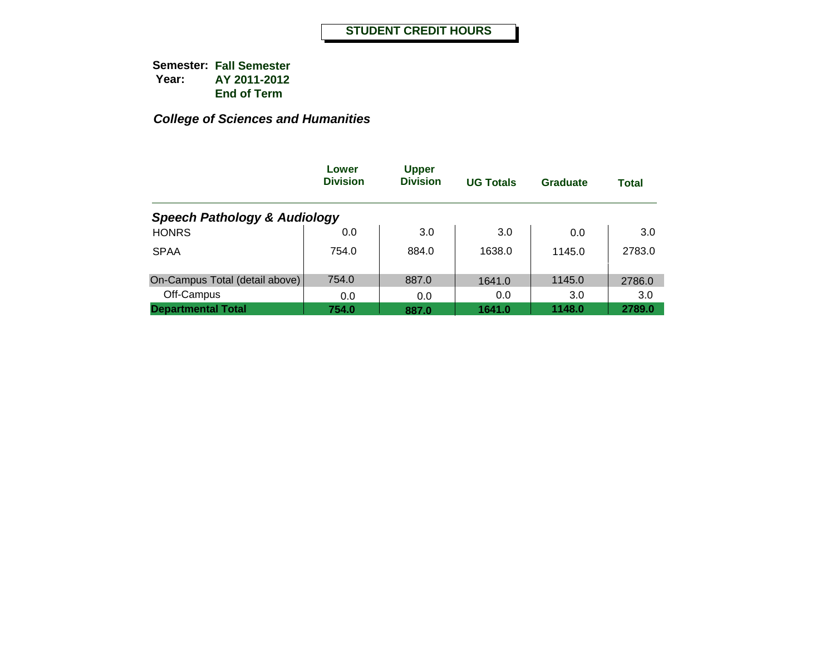|                                         | Lower<br><b>Division</b> | <b>Upper</b><br><b>Division</b> | <b>UG Totals</b> | <b>Graduate</b> | <b>Total</b> |
|-----------------------------------------|--------------------------|---------------------------------|------------------|-----------------|--------------|
| <b>Speech Pathology &amp; Audiology</b> |                          |                                 |                  |                 |              |
| <b>HONRS</b>                            | 0.0                      | 3.0                             | 3.0              | 0.0             | 3.0          |
| <b>SPAA</b>                             | 754.0                    | 884.0                           | 1638.0           | 1145.0          | 2783.0       |
| On-Campus Total (detail above)          | 754.0                    | 887.0                           | 1641.0           | 1145.0          | 2786.0       |
| Off-Campus                              | 0.0                      | 0.0                             | 0.0              | 3.0             | 3.0          |
| <b>Departmental Total</b>               | 754.0                    | 887.0                           | 1641.0           | 1148.0          | 2789.0       |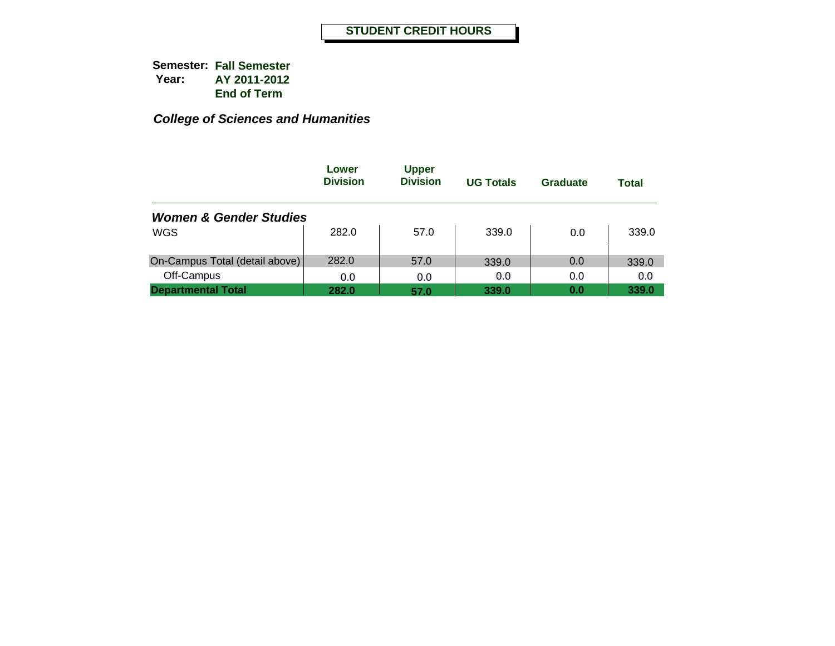|                                   | Lower<br><b>Division</b> | <b>Upper</b><br><b>Division</b> | <b>UG Totals</b> | Graduate | Total |
|-----------------------------------|--------------------------|---------------------------------|------------------|----------|-------|
| <b>Women &amp; Gender Studies</b> |                          |                                 |                  |          |       |
| WGS                               | 282.0                    | 57.0                            | 339.0            | 0.0      | 339.0 |
| On-Campus Total (detail above)    | 282.0                    | 57.0                            | 339.0            | 0.0      | 339.0 |
| Off-Campus                        | 0.0                      | 0.0                             | 0.0              | 0.0      | 0.0   |
| <b>Departmental Total</b>         | 282.0                    | 57.0                            | 339.0            | 0.0      | 339.0 |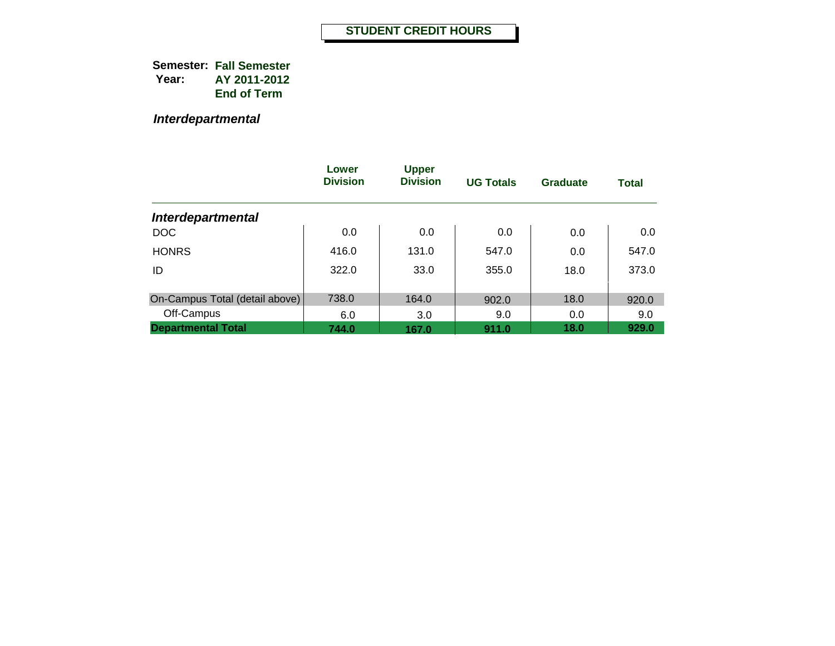*Interdepartmental*

|                                | Lower<br><b>Division</b> | <b>Upper</b><br><b>Division</b> | <b>UG Totals</b> | <b>Graduate</b> | <b>Total</b> |
|--------------------------------|--------------------------|---------------------------------|------------------|-----------------|--------------|
| <b>Interdepartmental</b>       |                          |                                 |                  |                 |              |
| <b>DOC</b>                     | 0.0                      | 0.0                             | 0.0              | 0.0             | 0.0          |
| <b>HONRS</b>                   | 416.0                    | 131.0                           | 547.0            | 0.0             | 547.0        |
| ID                             | 322.0                    | 33.0                            | 355.0            | 18.0            | 373.0        |
|                                | 738.0                    |                                 |                  |                 |              |
| On-Campus Total (detail above) |                          | 164.0                           | 902.0            | 18.0            | 920.0        |
| Off-Campus                     | 6.0                      | 3.0                             | 9.0              | 0.0             | 9.0          |
| <b>Departmental Total</b>      | 744.0                    | 167.0                           | 911.0            | 18.0            | 929.0        |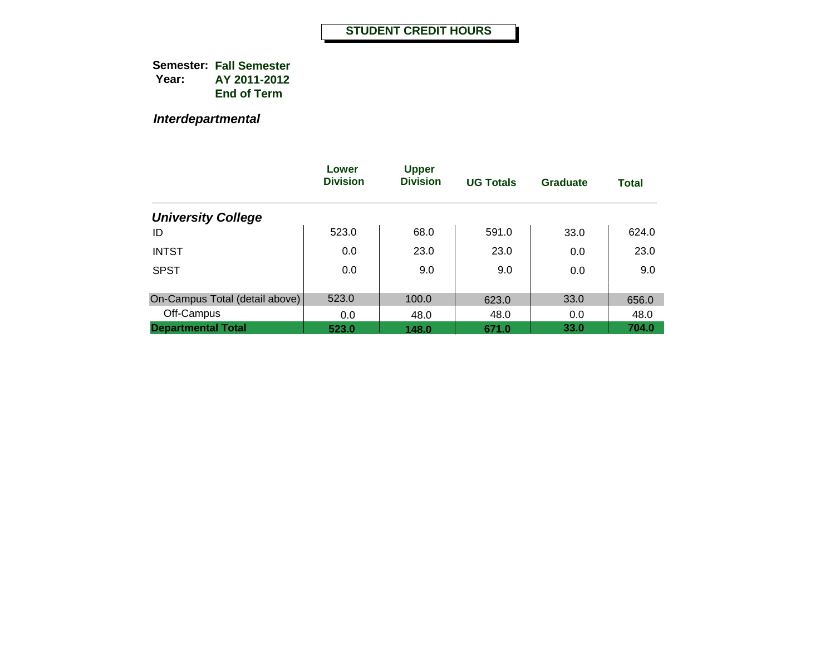*Interdepartmental*

|                                | Lower<br><b>Division</b> | <b>Upper</b><br><b>Division</b> | <b>UG Totals</b> | Graduate | <b>Total</b> |
|--------------------------------|--------------------------|---------------------------------|------------------|----------|--------------|
| <b>University College</b>      |                          |                                 |                  |          |              |
| ID                             | 523.0                    | 68.0                            | 591.0            | 33.0     | 624.0        |
| <b>INTST</b>                   | 0.0                      | 23.0                            | 23.0             | 0.0      | 23.0         |
| <b>SPST</b>                    | 0.0                      | 9.0                             | 9.0              | 0.0      | 9.0          |
| On-Campus Total (detail above) | 523.0                    | 100.0                           | 623.0            | 33.0     | 656.0        |
| Off-Campus                     | 0.0                      | 48.0                            | 48.0             | 0.0      | 48.0         |
| <b>Departmental Total</b>      | 523.0                    | 148.0                           | 671.0            | 33.0     | 704.0        |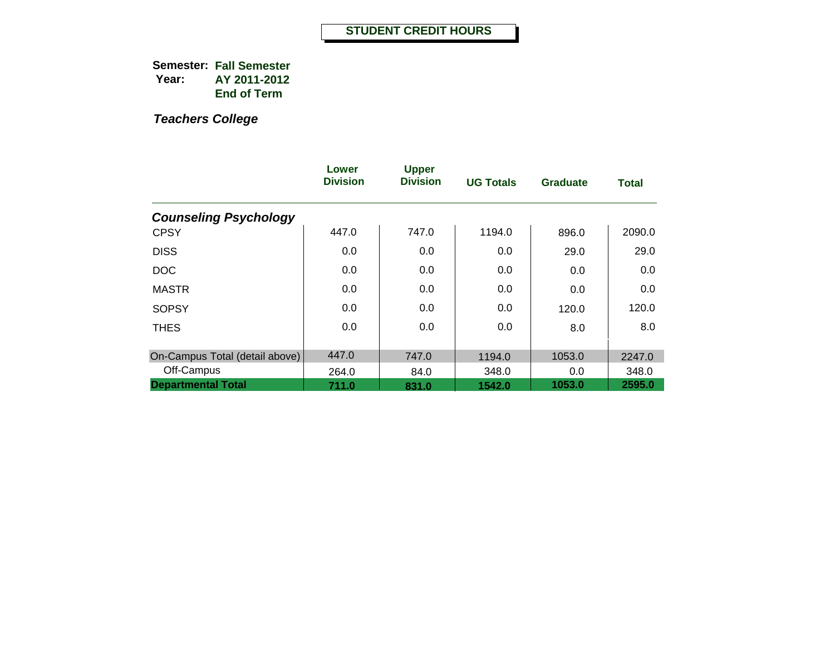|                                | Lower<br><b>Division</b> | <b>Upper</b><br><b>Division</b> | <b>UG Totals</b> | <b>Graduate</b> | Total  |
|--------------------------------|--------------------------|---------------------------------|------------------|-----------------|--------|
| <b>Counseling Psychology</b>   |                          |                                 |                  |                 |        |
| <b>CPSY</b>                    | 447.0                    | 747.0                           | 1194.0           | 896.0           | 2090.0 |
| <b>DISS</b>                    | 0.0                      | 0.0                             | 0.0              | 29.0            | 29.0   |
| <b>DOC</b>                     | 0.0                      | 0.0                             | 0.0              | 0.0             | 0.0    |
| <b>MASTR</b>                   | 0.0                      | 0.0                             | 0.0              | 0.0             | 0.0    |
| <b>SOPSY</b>                   | 0.0                      | 0.0                             | 0.0              | 120.0           | 120.0  |
| <b>THES</b>                    | 0.0                      | 0.0                             | 0.0              | 8.0             | 8.0    |
| On-Campus Total (detail above) | 447.0                    | 747.0                           | 1194.0           | 1053.0          | 2247.0 |
| Off-Campus                     | 264.0                    | 84.0                            | 348.0            | 0.0             | 348.0  |
| <b>Departmental Total</b>      | 711.0                    | 831.0                           | 1542.0           | 1053.0          | 2595.0 |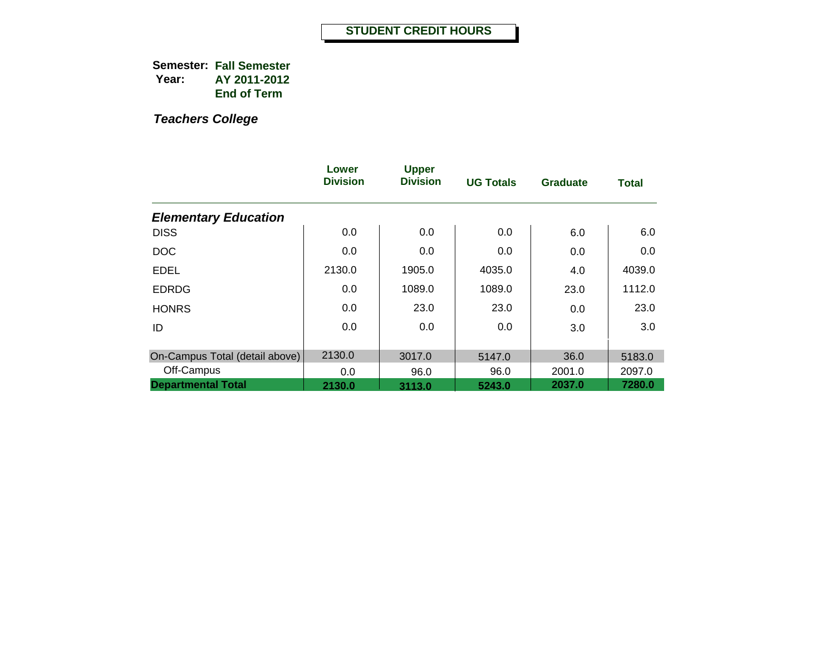|                                | Lower<br><b>Division</b> | <b>Upper</b><br><b>Division</b> | <b>UG Totals</b> | <b>Graduate</b> | <b>Total</b> |
|--------------------------------|--------------------------|---------------------------------|------------------|-----------------|--------------|
| <b>Elementary Education</b>    |                          |                                 |                  |                 |              |
| <b>DISS</b>                    | 0.0                      | 0.0                             | 0.0              | 6.0             | 6.0          |
| <b>DOC</b>                     | 0.0                      | 0.0                             | 0.0              | 0.0             | 0.0          |
| <b>EDEL</b>                    | 2130.0                   | 1905.0                          | 4035.0           | 4.0             | 4039.0       |
| <b>EDRDG</b>                   | 0.0                      | 1089.0                          | 1089.0           | 23.0            | 1112.0       |
| <b>HONRS</b>                   | 0.0                      | 23.0                            | 23.0             | 0.0             | 23.0         |
| ID                             | 0.0                      | 0.0                             | 0.0              | 3.0             | 3.0          |
| On-Campus Total (detail above) | 2130.0                   | 3017.0                          | 5147.0           | 36.0            | 5183.0       |
| Off-Campus                     | 0.0                      | 96.0                            | 96.0             | 2001.0          | 2097.0       |
| <b>Departmental Total</b>      | 2130.0                   | 3113.0                          | 5243.0           | 2037.0          | 7280.0       |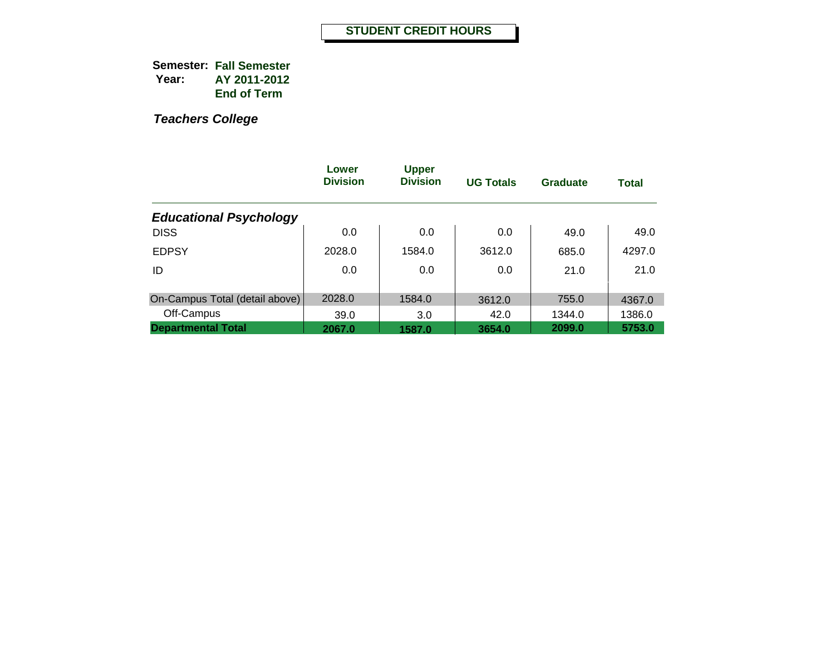|                                | Lower<br><b>Division</b> | <b>Upper</b><br><b>Division</b> | <b>UG Totals</b> | <b>Graduate</b> | <b>Total</b> |
|--------------------------------|--------------------------|---------------------------------|------------------|-----------------|--------------|
| <b>Educational Psychology</b>  |                          |                                 |                  |                 |              |
| <b>DISS</b>                    | 0.0                      | 0.0                             | 0.0              | 49.0            | 49.0         |
| <b>EDPSY</b>                   | 2028.0                   | 1584.0                          | 3612.0           | 685.0           | 4297.0       |
| ID                             | 0.0                      | 0.0                             | 0.0              | 21.0            | 21.0         |
|                                |                          |                                 |                  |                 |              |
| On-Campus Total (detail above) | 2028.0                   | 1584.0                          | 3612.0           | 755.0           | 4367.0       |
| Off-Campus                     | 39.0                     | 3.0                             | 42.0             | 1344.0          | 1386.0       |
| <b>Departmental Total</b>      | 2067.0                   | 1587.0                          | 3654.0           | 2099.0          | 5753.0       |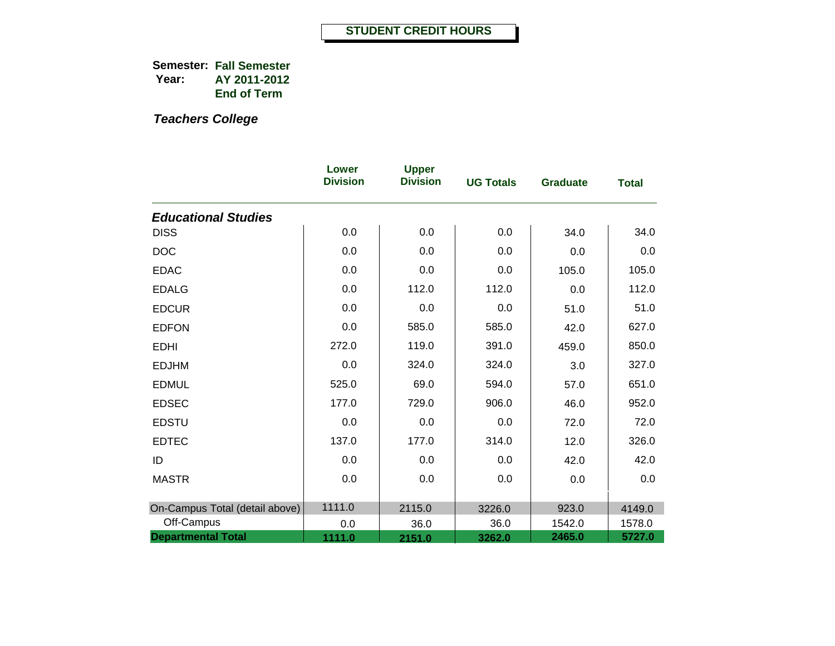|                                | Lower<br><b>Division</b> | <b>Upper</b><br><b>Division</b> | <b>UG Totals</b> | <b>Graduate</b> | <b>Total</b> |
|--------------------------------|--------------------------|---------------------------------|------------------|-----------------|--------------|
| <b>Educational Studies</b>     |                          |                                 |                  |                 |              |
| <b>DISS</b>                    | 0.0                      | 0.0                             | 0.0              | 34.0            | 34.0         |
| <b>DOC</b>                     | 0.0                      | 0.0                             | 0.0              | 0.0             | 0.0          |
| <b>EDAC</b>                    | 0.0                      | 0.0                             | 0.0              | 105.0           | 105.0        |
| <b>EDALG</b>                   | 0.0                      | 112.0                           | 112.0            | 0.0             | 112.0        |
| <b>EDCUR</b>                   | 0.0                      | 0.0                             | 0.0              | 51.0            | 51.0         |
| <b>EDFON</b>                   | 0.0                      | 585.0                           | 585.0            | 42.0            | 627.0        |
| <b>EDHI</b>                    | 272.0                    | 119.0                           | 391.0            | 459.0           | 850.0        |
| <b>EDJHM</b>                   | 0.0                      | 324.0                           | 324.0            | $3.0\,$         | 327.0        |
| <b>EDMUL</b>                   | 525.0                    | 69.0                            | 594.0            | 57.0            | 651.0        |
| <b>EDSEC</b>                   | 177.0                    | 729.0                           | 906.0            | 46.0            | 952.0        |
| <b>EDSTU</b>                   | 0.0                      | 0.0                             | 0.0              | 72.0            | 72.0         |
| <b>EDTEC</b>                   | 137.0                    | 177.0                           | 314.0            | 12.0            | 326.0        |
| ID                             | 0.0                      | 0.0                             | 0.0              | 42.0            | 42.0         |
| <b>MASTR</b>                   | 0.0                      | 0.0                             | 0.0              | 0.0             | 0.0          |
| On-Campus Total (detail above) | 1111.0                   | 2115.0                          | 3226.0           | 923.0           | 4149.0       |
| Off-Campus                     | 0.0                      | 36.0                            | 36.0             | 1542.0          | 1578.0       |
| <b>Departmental Total</b>      | 1111.0                   | 2151.0                          | 3262.0           | 2465.0          | 5727.0       |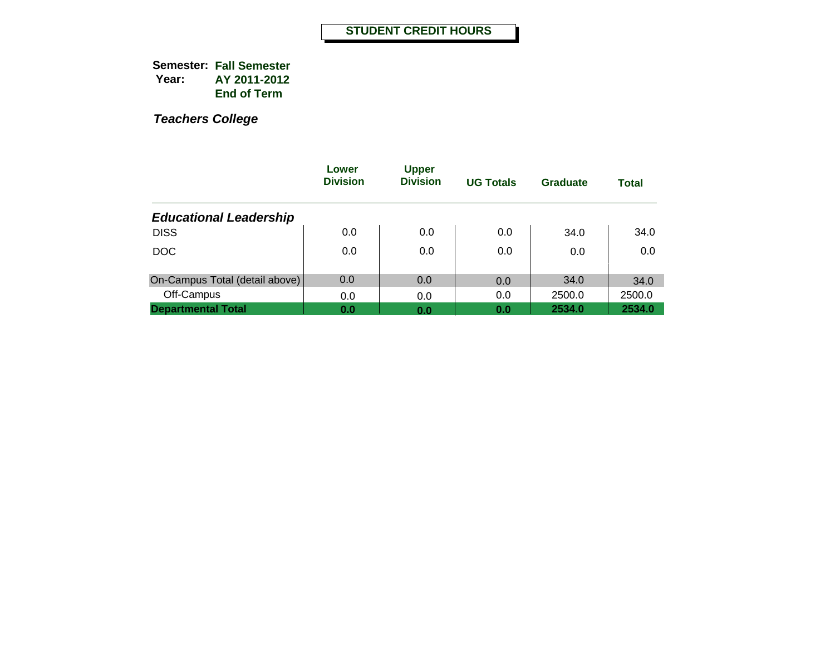|                                | Lower<br><b>Division</b> | <b>Upper</b><br><b>Division</b> | <b>UG Totals</b> | <b>Graduate</b> | <b>Total</b> |
|--------------------------------|--------------------------|---------------------------------|------------------|-----------------|--------------|
| <b>Educational Leadership</b>  |                          |                                 |                  |                 |              |
| <b>DISS</b>                    | 0.0                      | 0.0                             | 0.0              | 34.0            | 34.0         |
| <b>DOC</b>                     | 0.0                      | 0.0                             | 0.0              | 0.0             | 0.0          |
| On-Campus Total (detail above) | 0.0                      | 0.0                             | 0.0              | 34.0            | 34.0         |
| Off-Campus                     | 0.0                      | 0.0                             | 0.0              | 2500.0          | 2500.0       |
| <b>Departmental Total</b>      | 0.0                      | 0.0                             | 0.0              | 2534.0          | 2534.0       |